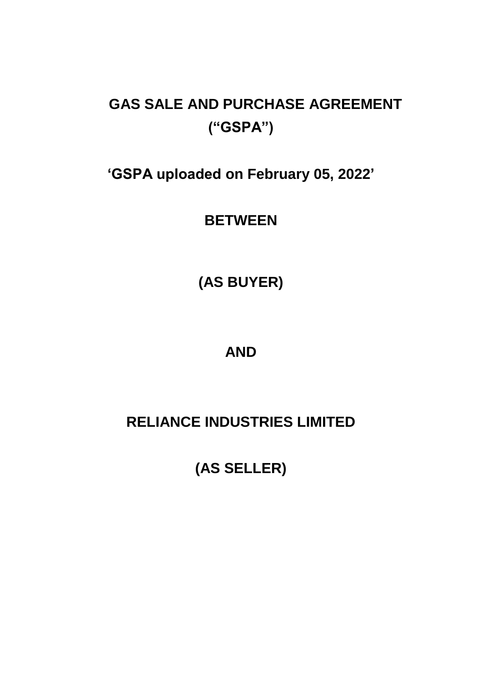# **GAS SALE AND PURCHASE AGREEMENT ("GSPA")**

**'GSPA uploaded on February 05, 2022'**

**BETWEEN**

**(AS BUYER)**

## **AND**

## **RELIANCE INDUSTRIES LIMITED**

**(AS SELLER)**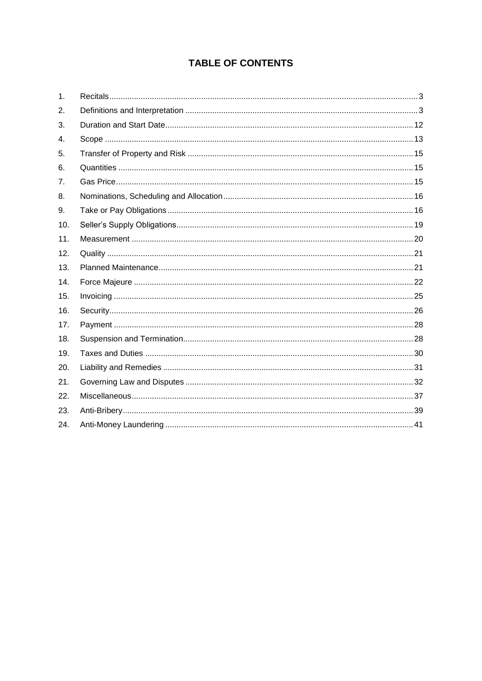## **TABLE OF CONTENTS**

| 1.  |  |
|-----|--|
| 2.  |  |
| 3.  |  |
| 4.  |  |
| 5.  |  |
| 6.  |  |
| 7.  |  |
| 8.  |  |
| 9.  |  |
| 10. |  |
| 11. |  |
| 12. |  |
| 13. |  |
| 14. |  |
| 15. |  |
| 16. |  |
| 17. |  |
| 18. |  |
| 19. |  |
| 20. |  |
| 21. |  |
| 22. |  |
| 23. |  |
| 24. |  |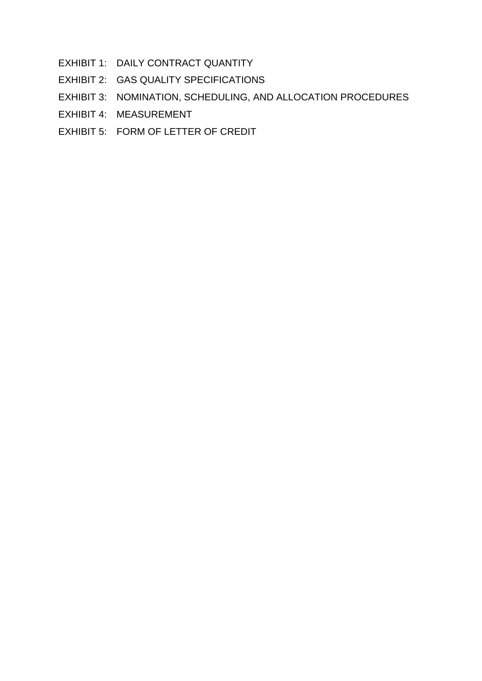- EXHIBIT 1: DAILY CONTRACT QUANTITY
- EXHIBIT 2: GAS QUALITY SPECIFICATIONS
- EXHIBIT 3: NOMINATION, SCHEDULING, AND ALLOCATION PROCEDURES
- EXHIBIT 4: MEASUREMENT
- EXHIBIT 5: FORM OF LETTER OF CREDIT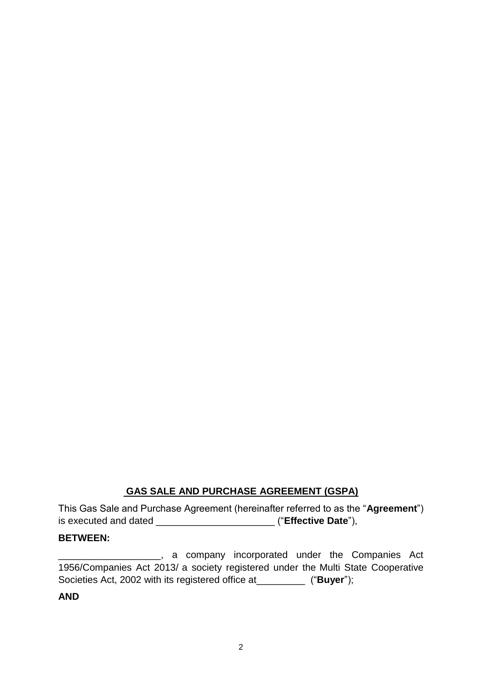## **GAS SALE AND PURCHASE AGREEMENT (GSPA)**

This Gas Sale and Purchase Agreement (hereinafter referred to as the "**Agreement**") is executed and dated \_\_\_\_\_\_\_\_\_\_\_\_\_\_\_\_\_\_\_\_\_\_ ("**Effective Date**"),

#### **BETWEEN:**

**EXECULEE:** A company incorporated under the Companies Act 1956/Companies Act 2013/ a society registered under the Multi State Cooperative Societies Act, 2002 with its registered office at  $( "Buyer" )$ ;

**AND**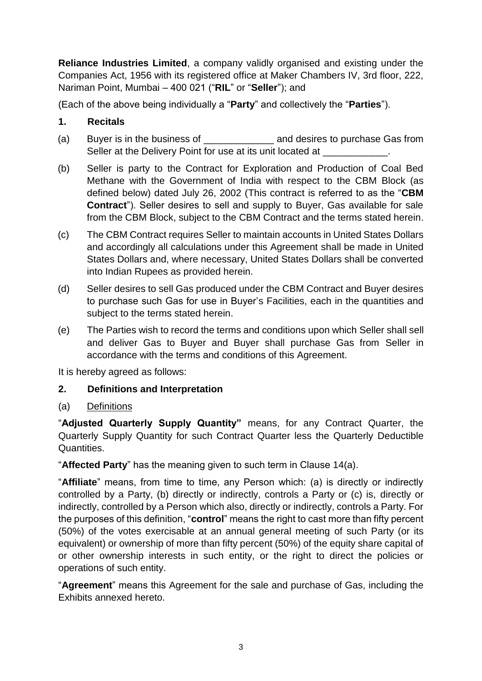**Reliance Industries Limited**, a company validly organised and existing under the Companies Act, 1956 with its registered office at Maker Chambers IV, 3rd floor, 222, Nariman Point, Mumbai – 400 021 ("**RIL**" or "**Seller**"); and

(Each of the above being individually a "**Party**" and collectively the "**Parties**").

#### <span id="page-4-0"></span>**1. Recitals**

- (a) Buyer is in the business of **Example 2** and desires to purchase Gas from Seller at the Delivery Point for use at its unit located at \_\_\_\_\_\_\_\_\_\_\_\_\_\_\_\_\_\_\_\_
- (b) Seller is party to the Contract for Exploration and Production of Coal Bed Methane with the Government of India with respect to the CBM Block (as defined below) dated July 26, 2002 (This contract is referred to as the "**CBM Contract**"). Seller desires to sell and supply to Buyer, Gas available for sale from the CBM Block, subject to the CBM Contract and the terms stated herein.
- (c) The CBM Contract requires Seller to maintain accounts in United States Dollars and accordingly all calculations under this Agreement shall be made in United States Dollars and, where necessary, United States Dollars shall be converted into Indian Rupees as provided herein.
- (d) Seller desires to sell Gas produced under the CBM Contract and Buyer desires to purchase such Gas for use in Buyer's Facilities, each in the quantities and subject to the terms stated herein.
- (e) The Parties wish to record the terms and conditions upon which Seller shall sell and deliver Gas to Buyer and Buyer shall purchase Gas from Seller in accordance with the terms and conditions of this Agreement.

It is hereby agreed as follows:

#### <span id="page-4-1"></span>**2. Definitions and Interpretation**

#### (a) Definitions

"**Adjusted Quarterly Supply Quantity"** means, for any Contract Quarter, the Quarterly Supply Quantity for such Contract Quarter less the Quarterly Deductible Quantities.

"**Affected Party**" has the meaning given to such term in Clause 14(a).

"**Affiliate**" means, from time to time, any Person which: (a) is directly or indirectly controlled by a Party, (b) directly or indirectly, controls a Party or (c) is, directly or indirectly, controlled by a Person which also, directly or indirectly, controls a Party. For the purposes of this definition, "**control**" means the right to cast more than fifty percent (50%) of the votes exercisable at an annual general meeting of such Party (or its equivalent) or ownership of more than fifty percent (50%) of the equity share capital of or other ownership interests in such entity, or the right to direct the policies or operations of such entity.

"**Agreement**" means this Agreement for the sale and purchase of Gas, including the Exhibits annexed hereto.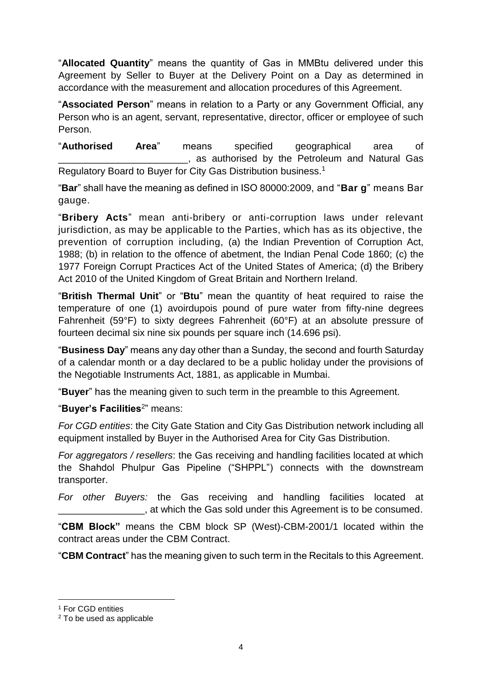"**Allocated Quantity**" means the quantity of Gas in MMBtu delivered under this Agreement by Seller to Buyer at the Delivery Point on a Day as determined in accordance with the measurement and allocation procedures of this Agreement.

"**Associated Person**" means in relation to a Party or any Government Official, any Person who is an agent, servant, representative, director, officer or employee of such Person.

"**Authorised Area**" means specified geographical area of \_\_\_\_\_\_\_\_\_\_\_\_\_\_\_\_\_\_\_\_\_\_\_\_, as authorised by the Petroleum and Natural Gas Regulatory Board to Buyer for City Gas Distribution business.<sup>1</sup>

"**Bar**" shall have the meaning as defined in ISO 80000:2009, and "**Bar g**" means Bar gauge.

"**Bribery Acts**" mean anti-bribery or anti-corruption laws under relevant jurisdiction, as may be applicable to the Parties, which has as its objective, the prevention of corruption including, (a) the Indian Prevention of Corruption Act, 1988; (b) in relation to the offence of abetment, the Indian Penal Code 1860; (c) the 1977 Foreign Corrupt Practices Act of the United States of America; (d) the Bribery Act 2010 of the United Kingdom of Great Britain and Northern Ireland.

"**British Thermal Unit**" or "**Btu**" mean the quantity of heat required to raise the temperature of one (1) avoirdupois pound of pure water from fifty-nine degrees Fahrenheit (59°F) to sixty degrees Fahrenheit (60°F) at an absolute pressure of fourteen decimal six nine six pounds per square inch (14.696 psi).

"**Business Day**" means any day other than a Sunday, the second and fourth Saturday of a calendar month or a day declared to be a public holiday under the provisions of the Negotiable Instruments Act, 1881, as applicable in Mumbai.

"**Buyer**" has the meaning given to such term in the preamble to this Agreement.

"**Buyer's Facilities**<sup>2</sup> " means:

*For CGD entities*: the City Gate Station and City Gas Distribution network including all equipment installed by Buyer in the Authorised Area for City Gas Distribution.

*For aggregators / resellers*: the Gas receiving and handling facilities located at which the Shahdol Phulpur Gas Pipeline ("SHPPL") connects with the downstream transporter.

*For other Buyers:* the Gas receiving and handling facilities located at . at which the Gas sold under this Agreement is to be consumed.

"**CBM Block"** means the CBM block SP (West)-CBM-2001/1 located within the contract areas under the CBM Contract.

"**CBM Contract**" has the meaning given to such term in the Recitals to this Agreement.

-

<sup>&</sup>lt;sup>1</sup> For CGD entities

<sup>2</sup> To be used as applicable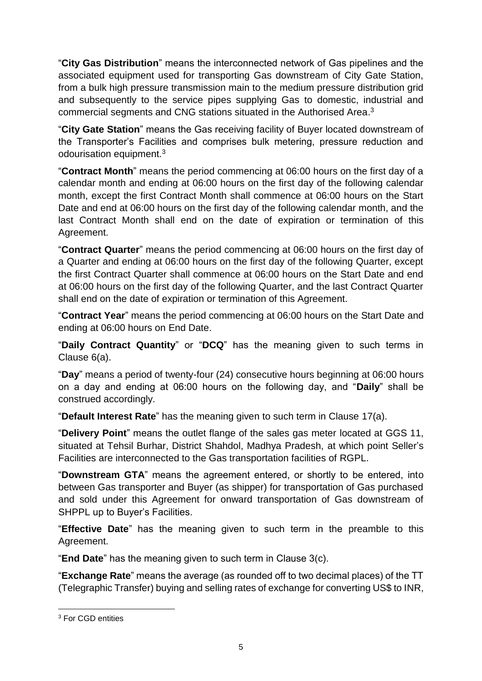"**City Gas Distribution**" means the interconnected network of Gas pipelines and the associated equipment used for transporting Gas downstream of City Gate Station, from a bulk high pressure transmission main to the medium pressure distribution grid and subsequently to the service pipes supplying Gas to domestic, industrial and commercial segments and CNG stations situated in the Authorised Area. 3

"**City Gate Station**" means the Gas receiving facility of Buyer located downstream of the Transporter's Facilities and comprises bulk metering, pressure reduction and odourisation equipment.<sup>3</sup>

"**Contract Month**" means the period commencing at 06:00 hours on the first day of a calendar month and ending at 06:00 hours on the first day of the following calendar month, except the first Contract Month shall commence at 06:00 hours on the Start Date and end at 06:00 hours on the first day of the following calendar month, and the last Contract Month shall end on the date of expiration or termination of this Agreement.

"**Contract Quarter**" means the period commencing at 06:00 hours on the first day of a Quarter and ending at 06:00 hours on the first day of the following Quarter, except the first Contract Quarter shall commence at 06:00 hours on the Start Date and end at 06:00 hours on the first day of the following Quarter, and the last Contract Quarter shall end on the date of expiration or termination of this Agreement.

"**Contract Year**" means the period commencing at 06:00 hours on the Start Date and ending at 06:00 hours on End Date.

"**Daily Contract Quantity**" or "**DCQ**" has the meaning given to such terms in Clause 6(a).

"**Day**" means a period of twenty-four (24) consecutive hours beginning at 06:00 hours on a day and ending at 06:00 hours on the following day, and "**Daily**" shall be construed accordingly.

"**Default Interest Rate**" has the meaning given to such term in Clause 17(a).

"**Delivery Point**" means the outlet flange of the sales gas meter located at GGS 11, situated at Tehsil Burhar, District Shahdol, Madhya Pradesh, at which point Seller's Facilities are interconnected to the Gas transportation facilities of RGPL.

"**Downstream GTA**" means the agreement entered, or shortly to be entered, into between Gas transporter and Buyer (as shipper) for transportation of Gas purchased and sold under this Agreement for onward transportation of Gas downstream of SHPPL up to Buyer's Facilities.

"**Effective Date**" has the meaning given to such term in the preamble to this Agreement.

"**End Date**" has the meaning given to such term in Clause 3(c).

"**Exchange Rate**" means the average (as rounded off to two decimal places) of the TT (Telegraphic Transfer) buying and selling rates of exchange for converting US\$ to INR,

1

<sup>3</sup> For CGD entities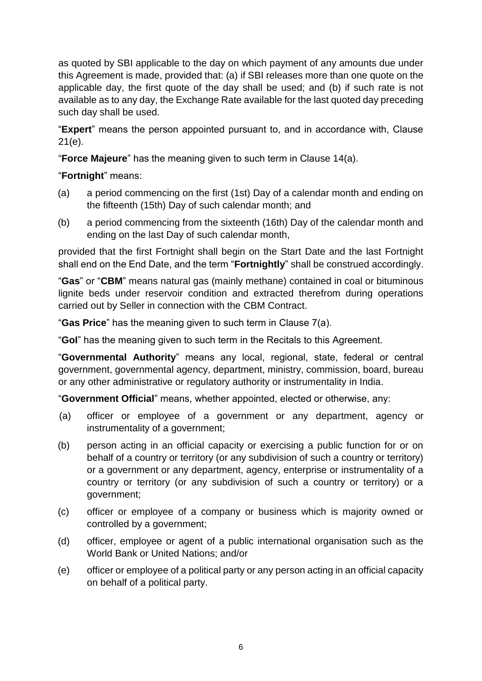as quoted by SBI applicable to the day on which payment of any amounts due under this Agreement is made, provided that: (a) if SBI releases more than one quote on the applicable day, the first quote of the day shall be used; and (b) if such rate is not available as to any day, the Exchange Rate available for the last quoted day preceding such day shall be used.

"**Expert**" means the person appointed pursuant to, and in accordance with, Clause 21(e).

"**Force Majeure**" has the meaning given to such term in Clause 14(a).

"**Fortnight**" means:

- (a) a period commencing on the first (1st) Day of a calendar month and ending on the fifteenth (15th) Day of such calendar month; and
- (b) a period commencing from the sixteenth (16th) Day of the calendar month and ending on the last Day of such calendar month,

provided that the first Fortnight shall begin on the Start Date and the last Fortnight shall end on the End Date, and the term "**Fortnightly**" shall be construed accordingly.

"**Gas**" or "**CBM**" means natural gas (mainly methane) contained in coal or bituminous lignite beds under reservoir condition and extracted therefrom during operations carried out by Seller in connection with the CBM Contract.

"**Gas Price**" has the meaning given to such term in Clause 7(a).

"**GoI**" has the meaning given to such term in the Recitals to this Agreement.

"**Governmental Authority**" means any local, regional, state, federal or central government, governmental agency, department, ministry, commission, board, bureau or any other administrative or regulatory authority or instrumentality in India.

"**Government Official**" means, whether appointed, elected or otherwise, any:

- (a) officer or employee of a government or any department, agency or instrumentality of a government;
- (b) person acting in an official capacity or exercising a public function for or on behalf of a country or territory (or any subdivision of such a country or territory) or a government or any department, agency, enterprise or instrumentality of a country or territory (or any subdivision of such a country or territory) or a government;
- (c) officer or employee of a company or business which is majority owned or controlled by a government;
- (d) officer, employee or agent of a public international organisation such as the World Bank or United Nations; and/or
- (e) officer or employee of a political party or any person acting in an official capacity on behalf of a political party.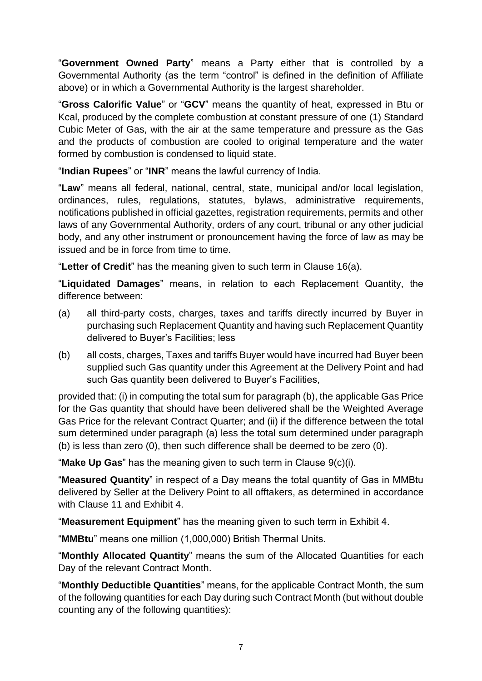"**Government Owned Party**" means a Party either that is controlled by a Governmental Authority (as the term "control" is defined in the definition of Affiliate above) or in which a Governmental Authority is the largest shareholder.

"**Gross Calorific Value**" or "**GCV**" means the quantity of heat, expressed in Btu or Kcal, produced by the complete combustion at constant pressure of one (1) Standard Cubic Meter of Gas, with the air at the same temperature and pressure as the Gas and the products of combustion are cooled to original temperature and the water formed by combustion is condensed to liquid state.

"**Indian Rupees**" or "**INR**" means the lawful currency of India.

"**Law**" means all federal, national, central, state, municipal and/or local legislation, ordinances, rules, regulations, statutes, bylaws, administrative requirements, notifications published in official gazettes, registration requirements, permits and other laws of any Governmental Authority, orders of any court, tribunal or any other judicial body, and any other instrument or pronouncement having the force of law as may be issued and be in force from time to time.

"**Letter of Credit**" has the meaning given to such term in Clause 16(a).

"**Liquidated Damages**" means, in relation to each Replacement Quantity, the difference between:

- (a) all third-party costs, charges, taxes and tariffs directly incurred by Buyer in purchasing such Replacement Quantity and having such Replacement Quantity delivered to Buyer's Facilities; less
- (b) all costs, charges, Taxes and tariffs Buyer would have incurred had Buyer been supplied such Gas quantity under this Agreement at the Delivery Point and had such Gas quantity been delivered to Buyer's Facilities,

provided that: (i) in computing the total sum for paragraph (b), the applicable Gas Price for the Gas quantity that should have been delivered shall be the Weighted Average Gas Price for the relevant Contract Quarter; and (ii) if the difference between the total sum determined under paragraph (a) less the total sum determined under paragraph (b) is less than zero (0), then such difference shall be deemed to be zero (0).

"**Make Up Gas**" has the meaning given to such term in Clause 9(c)(i).

"**Measured Quantity**" in respect of a Day means the total quantity of Gas in MMBtu delivered by Seller at the Delivery Point to all offtakers, as determined in accordance with Clause 11 and Exhibit 4

"**Measurement Equipment**" has the meaning given to such term in Exhibit 4.

"**MMBtu**" means one million (1,000,000) British Thermal Units.

"**Monthly Allocated Quantity**" means the sum of the Allocated Quantities for each Day of the relevant Contract Month.

"**Monthly Deductible Quantities**" means, for the applicable Contract Month, the sum of the following quantities for each Day during such Contract Month (but without double counting any of the following quantities):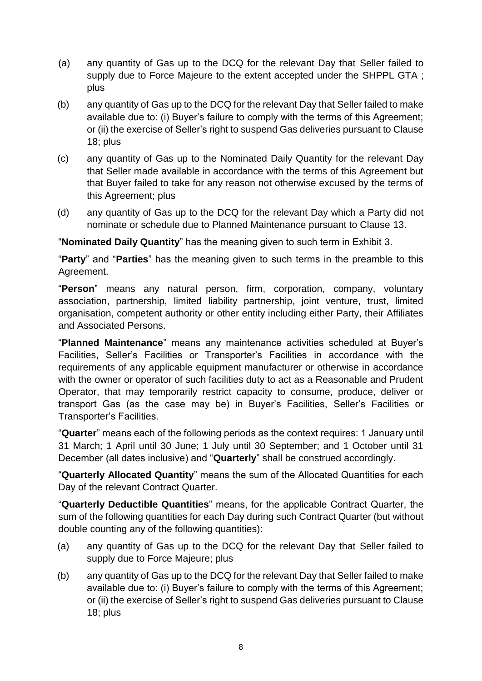- (a) any quantity of Gas up to the DCQ for the relevant Day that Seller failed to supply due to Force Majeure to the extent accepted under the SHPPL GTA ; plus
- (b) any quantity of Gas up to the DCQ for the relevant Day that Seller failed to make available due to: (i) Buyer's failure to comply with the terms of this Agreement; or (ii) the exercise of Seller's right to suspend Gas deliveries pursuant to Clause 18; plus
- (c) any quantity of Gas up to the Nominated Daily Quantity for the relevant Day that Seller made available in accordance with the terms of this Agreement but that Buyer failed to take for any reason not otherwise excused by the terms of this Agreement; plus
- (d) any quantity of Gas up to the DCQ for the relevant Day which a Party did not nominate or schedule due to Planned Maintenance pursuant to Clause 13.

"**Nominated Daily Quantity**" has the meaning given to such term in Exhibit 3.

"**Party**" and "**Parties**" has the meaning given to such terms in the preamble to this Agreement.

"**Person**" means any natural person, firm, corporation, company, voluntary association, partnership, limited liability partnership, joint venture, trust, limited organisation, competent authority or other entity including either Party, their Affiliates and Associated Persons.

"**Planned Maintenance**" means any maintenance activities scheduled at Buyer's Facilities, Seller's Facilities or Transporter's Facilities in accordance with the requirements of any applicable equipment manufacturer or otherwise in accordance with the owner or operator of such facilities duty to act as a Reasonable and Prudent Operator, that may temporarily restrict capacity to consume, produce, deliver or transport Gas (as the case may be) in Buyer's Facilities, Seller's Facilities or Transporter's Facilities.

"**Quarter**" means each of the following periods as the context requires: 1 January until 31 March; 1 April until 30 June; 1 July until 30 September; and 1 October until 31 December (all dates inclusive) and "**Quarterly**" shall be construed accordingly.

"**Quarterly Allocated Quantity**" means the sum of the Allocated Quantities for each Day of the relevant Contract Quarter.

"**Quarterly Deductible Quantities**" means, for the applicable Contract Quarter, the sum of the following quantities for each Day during such Contract Quarter (but without double counting any of the following quantities):

- (a) any quantity of Gas up to the DCQ for the relevant Day that Seller failed to supply due to Force Majeure; plus
- (b) any quantity of Gas up to the DCQ for the relevant Day that Seller failed to make available due to: (i) Buyer's failure to comply with the terms of this Agreement; or (ii) the exercise of Seller's right to suspend Gas deliveries pursuant to Clause 18; plus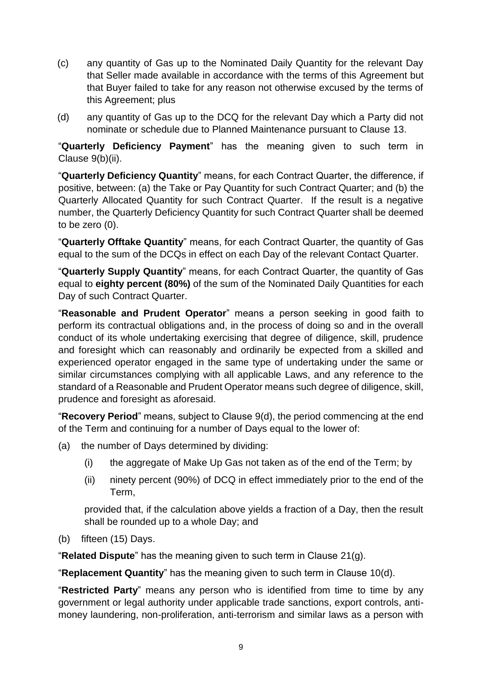- (c) any quantity of Gas up to the Nominated Daily Quantity for the relevant Day that Seller made available in accordance with the terms of this Agreement but that Buyer failed to take for any reason not otherwise excused by the terms of this Agreement; plus
- (d) any quantity of Gas up to the DCQ for the relevant Day which a Party did not nominate or schedule due to Planned Maintenance pursuant to Clause 13.

"**Quarterly Deficiency Payment**" has the meaning given to such term in Clause 9(b)(ii).

"**Quarterly Deficiency Quantity**" means, for each Contract Quarter, the difference, if positive, between: (a) the Take or Pay Quantity for such Contract Quarter; and (b) the Quarterly Allocated Quantity for such Contract Quarter. If the result is a negative number, the Quarterly Deficiency Quantity for such Contract Quarter shall be deemed to be zero (0).

"**Quarterly Offtake Quantity**" means, for each Contract Quarter, the quantity of Gas equal to the sum of the DCQs in effect on each Day of the relevant Contact Quarter.

"**Quarterly Supply Quantity**" means, for each Contract Quarter, the quantity of Gas equal to **eighty percent (80%)** of the sum of the Nominated Daily Quantities for each Day of such Contract Quarter.

"**Reasonable and Prudent Operator**" means a person seeking in good faith to perform its contractual obligations and, in the process of doing so and in the overall conduct of its whole undertaking exercising that degree of diligence, skill, prudence and foresight which can reasonably and ordinarily be expected from a skilled and experienced operator engaged in the same type of undertaking under the same or similar circumstances complying with all applicable Laws, and any reference to the standard of a Reasonable and Prudent Operator means such degree of diligence, skill, prudence and foresight as aforesaid.

"**Recovery Period**" means, subject to Clause 9(d), the period commencing at the end of the Term and continuing for a number of Days equal to the lower of:

- (a) the number of Days determined by dividing:
	- (i) the aggregate of Make Up Gas not taken as of the end of the Term; by
	- (ii) ninety percent (90%) of DCQ in effect immediately prior to the end of the Term,

provided that, if the calculation above yields a fraction of a Day, then the result shall be rounded up to a whole Day; and

(b) fifteen (15) Days.

"**Related Dispute**" has the meaning given to such term in Clause 21(g).

"**Replacement Quantity**" has the meaning given to such term in Clause 10(d).

"**Restricted Party**" means any person who is identified from time to time by any government or legal authority under applicable trade sanctions, export controls, antimoney laundering, non-proliferation, anti-terrorism and similar laws as a person with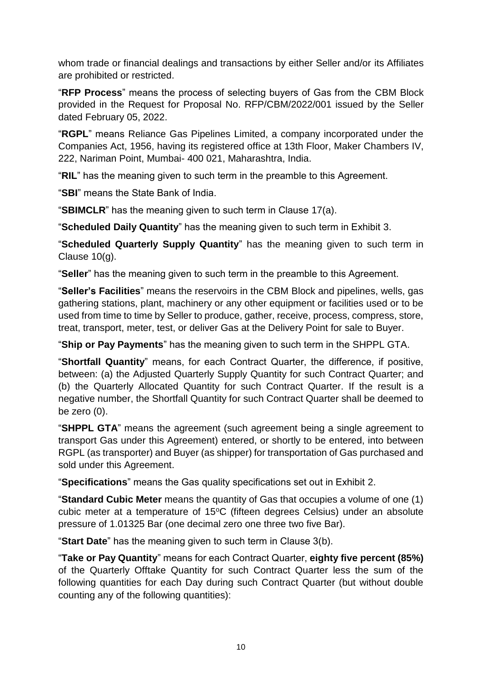whom trade or financial dealings and transactions by either Seller and/or its Affiliates are prohibited or restricted.

"**RFP Process**" means the process of selecting buyers of Gas from the CBM Block provided in the Request for Proposal No. RFP/CBM/2022/001 issued by the Seller dated February 05, 2022.

"**RGPL**" means Reliance Gas Pipelines Limited, a company incorporated under the Companies Act, 1956, having its registered office at 13th Floor, Maker Chambers IV, 222, Nariman Point, Mumbai- 400 021, Maharashtra, India.

"**RIL**" has the meaning given to such term in the preamble to this Agreement.

"**SBI**" means the State Bank of India.

"**SBIMCLR**" has the meaning given to such term in Clause 17(a).

"**Scheduled Daily Quantity**" has the meaning given to such term in Exhibit 3.

"**Scheduled Quarterly Supply Quantity**" has the meaning given to such term in Clause 10(g).

"**Seller**" has the meaning given to such term in the preamble to this Agreement.

"**Seller's Facilities**" means the reservoirs in the CBM Block and pipelines, wells, gas gathering stations, plant, machinery or any other equipment or facilities used or to be used from time to time by Seller to produce, gather, receive, process, compress, store, treat, transport, meter, test, or deliver Gas at the Delivery Point for sale to Buyer.

"**Ship or Pay Payments**" has the meaning given to such term in the SHPPL GTA.

"**Shortfall Quantity**" means, for each Contract Quarter, the difference, if positive, between: (a) the Adjusted Quarterly Supply Quantity for such Contract Quarter; and (b) the Quarterly Allocated Quantity for such Contract Quarter. If the result is a negative number, the Shortfall Quantity for such Contract Quarter shall be deemed to be zero (0).

"**SHPPL GTA**" means the agreement (such agreement being a single agreement to transport Gas under this Agreement) entered, or shortly to be entered, into between RGPL (as transporter) and Buyer (as shipper) for transportation of Gas purchased and sold under this Agreement.

"**Specifications**" means the Gas quality specifications set out in Exhibit 2.

"**Standard Cubic Meter** means the quantity of Gas that occupies a volume of one (1) cubic meter at a temperature of 15°C (fifteen degrees Celsius) under an absolute pressure of 1.01325 Bar (one decimal zero one three two five Bar).

"**Start Date**" has the meaning given to such term in Clause 3(b).

"**Take or Pay Quantity**" means for each Contract Quarter, **eighty five percent (85%)** of the Quarterly Offtake Quantity for such Contract Quarter less the sum of the following quantities for each Day during such Contract Quarter (but without double counting any of the following quantities):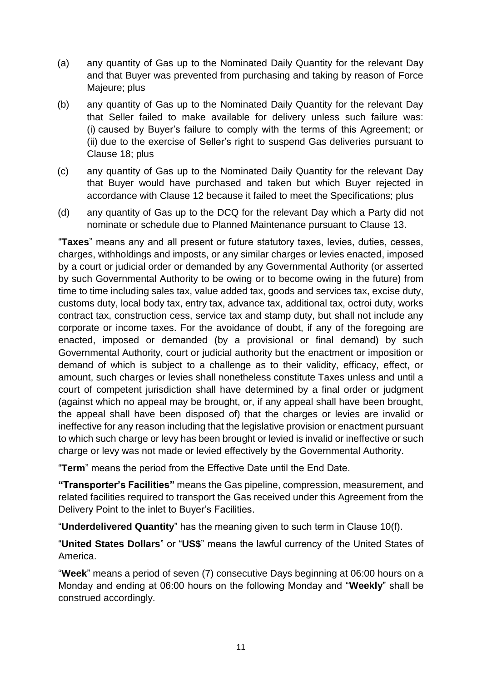- (a) any quantity of Gas up to the Nominated Daily Quantity for the relevant Day and that Buyer was prevented from purchasing and taking by reason of Force Majeure; plus
- (b) any quantity of Gas up to the Nominated Daily Quantity for the relevant Day that Seller failed to make available for delivery unless such failure was: (i) caused by Buyer's failure to comply with the terms of this Agreement; or (ii) due to the exercise of Seller's right to suspend Gas deliveries pursuant to Clause 18; plus
- (c) any quantity of Gas up to the Nominated Daily Quantity for the relevant Day that Buyer would have purchased and taken but which Buyer rejected in accordance with Clause 12 because it failed to meet the Specifications; plus
- (d) any quantity of Gas up to the DCQ for the relevant Day which a Party did not nominate or schedule due to Planned Maintenance pursuant to Clause 13.

"**Taxes**" means any and all present or future statutory taxes, levies, duties, cesses, charges, withholdings and imposts, or any similar charges or levies enacted, imposed by a court or judicial order or demanded by any Governmental Authority (or asserted by such Governmental Authority to be owing or to become owing in the future) from time to time including sales tax, value added tax, goods and services tax, excise duty, customs duty, local body tax, entry tax, advance tax, additional tax, octroi duty, works contract tax, construction cess, service tax and stamp duty, but shall not include any corporate or income taxes. For the avoidance of doubt, if any of the foregoing are enacted, imposed or demanded (by a provisional or final demand) by such Governmental Authority, court or judicial authority but the enactment or imposition or demand of which is subject to a challenge as to their validity, efficacy, effect, or amount, such charges or levies shall nonetheless constitute Taxes unless and until a court of competent jurisdiction shall have determined by a final order or judgment (against which no appeal may be brought, or, if any appeal shall have been brought, the appeal shall have been disposed of) that the charges or levies are invalid or ineffective for any reason including that the legislative provision or enactment pursuant to which such charge or levy has been brought or levied is invalid or ineffective or such charge or levy was not made or levied effectively by the Governmental Authority.

"**Term**" means the period from the Effective Date until the End Date.

**"Transporter's Facilities"** means the Gas pipeline, compression, measurement, and related facilities required to transport the Gas received under this Agreement from the Delivery Point to the inlet to Buyer's Facilities.

"**Underdelivered Quantity**" has the meaning given to such term in Clause 10(f).

"**United States Dollars**" or "**US\$**" means the lawful currency of the United States of America.

"**Week**" means a period of seven (7) consecutive Days beginning at 06:00 hours on a Monday and ending at 06:00 hours on the following Monday and "**Weekly**" shall be construed accordingly.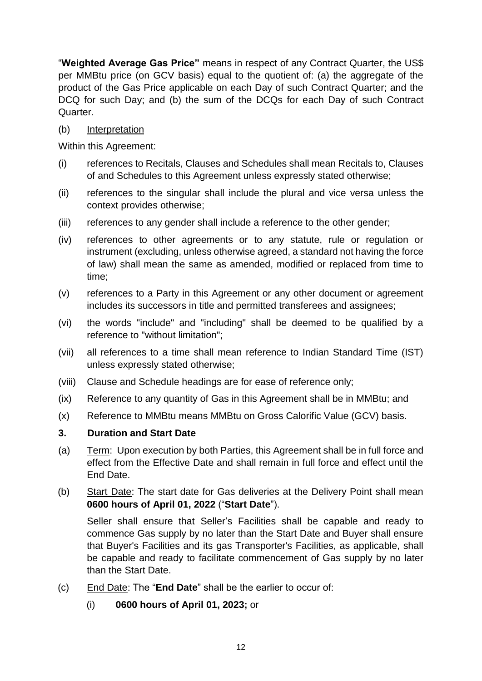"**Weighted Average Gas Price"** means in respect of any Contract Quarter, the US\$ per MMBtu price (on GCV basis) equal to the quotient of: (a) the aggregate of the product of the Gas Price applicable on each Day of such Contract Quarter; and the DCQ for such Day; and (b) the sum of the DCQs for each Day of such Contract Quarter.

#### (b) Interpretation

Within this Agreement:

- (i) references to Recitals, Clauses and Schedules shall mean Recitals to, Clauses of and Schedules to this Agreement unless expressly stated otherwise;
- (ii) references to the singular shall include the plural and vice versa unless the context provides otherwise;
- (iii) references to any gender shall include a reference to the other gender;
- (iv) references to other agreements or to any statute, rule or regulation or instrument (excluding, unless otherwise agreed, a standard not having the force of law) shall mean the same as amended, modified or replaced from time to time;
- (v) references to a Party in this Agreement or any other document or agreement includes its successors in title and permitted transferees and assignees;
- (vi) the words "include" and "including" shall be deemed to be qualified by a reference to "without limitation";
- (vii) all references to a time shall mean reference to Indian Standard Time (IST) unless expressly stated otherwise;
- (viii) Clause and Schedule headings are for ease of reference only;
- (ix) Reference to any quantity of Gas in this Agreement shall be in MMBtu; and
- (x) Reference to MMBtu means MMBtu on Gross Calorific Value (GCV) basis.

#### <span id="page-13-0"></span>**3. Duration and Start Date**

- (a) Term: Upon execution by both Parties, this Agreement shall be in full force and effect from the Effective Date and shall remain in full force and effect until the End Date.
- (b) Start Date: The start date for Gas deliveries at the Delivery Point shall mean **0600 hours of April 01, 2022** ("**Start Date**").

Seller shall ensure that Seller's Facilities shall be capable and ready to commence Gas supply by no later than the Start Date and Buyer shall ensure that Buyer's Facilities and its gas Transporter's Facilities, as applicable, shall be capable and ready to facilitate commencement of Gas supply by no later than the Start Date.

- (c) End Date: The "**End Date**" shall be the earlier to occur of:
	- (i) **0600 hours of April 01, 2023;** or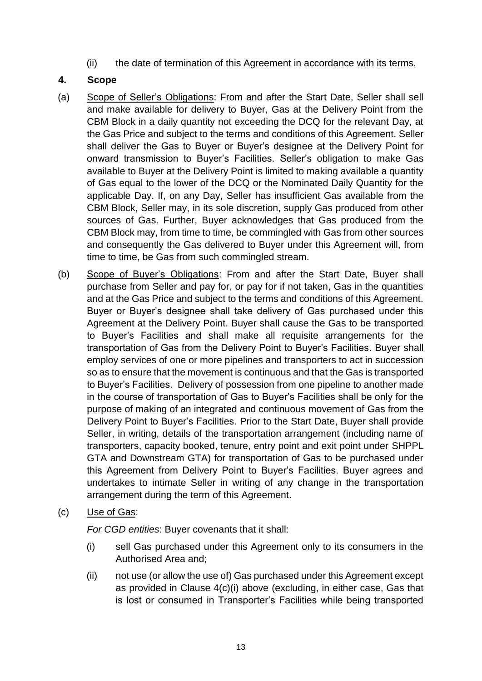<span id="page-14-0"></span>(ii) the date of termination of this Agreement in accordance with its terms.

#### **4. Scope**

- (a) Scope of Seller's Obligations: From and after the Start Date, Seller shall sell and make available for delivery to Buyer, Gas at the Delivery Point from the CBM Block in a daily quantity not exceeding the DCQ for the relevant Day, at the Gas Price and subject to the terms and conditions of this Agreement. Seller shall deliver the Gas to Buyer or Buyer's designee at the Delivery Point for onward transmission to Buyer's Facilities. Seller's obligation to make Gas available to Buyer at the Delivery Point is limited to making available a quantity of Gas equal to the lower of the DCQ or the Nominated Daily Quantity for the applicable Day. If, on any Day, Seller has insufficient Gas available from the CBM Block, Seller may, in its sole discretion, supply Gas produced from other sources of Gas. Further, Buyer acknowledges that Gas produced from the CBM Block may, from time to time, be commingled with Gas from other sources and consequently the Gas delivered to Buyer under this Agreement will, from time to time, be Gas from such commingled stream.
- (b) Scope of Buyer's Obligations: From and after the Start Date, Buyer shall purchase from Seller and pay for, or pay for if not taken, Gas in the quantities and at the Gas Price and subject to the terms and conditions of this Agreement. Buyer or Buyer's designee shall take delivery of Gas purchased under this Agreement at the Delivery Point. Buyer shall cause the Gas to be transported to Buyer's Facilities and shall make all requisite arrangements for the transportation of Gas from the Delivery Point to Buyer's Facilities. Buyer shall employ services of one or more pipelines and transporters to act in succession so as to ensure that the movement is continuous and that the Gas is transported to Buyer's Facilities. Delivery of possession from one pipeline to another made in the course of transportation of Gas to Buyer's Facilities shall be only for the purpose of making of an integrated and continuous movement of Gas from the Delivery Point to Buyer's Facilities. Prior to the Start Date, Buyer shall provide Seller, in writing, details of the transportation arrangement (including name of transporters, capacity booked, tenure, entry point and exit point under SHPPL GTA and Downstream GTA) for transportation of Gas to be purchased under this Agreement from Delivery Point to Buyer's Facilities. Buyer agrees and undertakes to intimate Seller in writing of any change in the transportation arrangement during the term of this Agreement.
- (c) Use of Gas:

*For CGD entities*: Buyer covenants that it shall:

- (i) sell Gas purchased under this Agreement only to its consumers in the Authorised Area and;
- (ii) not use (or allow the use of) Gas purchased under this Agreement except as provided in Clause 4(c)(i) above (excluding, in either case, Gas that is lost or consumed in Transporter's Facilities while being transported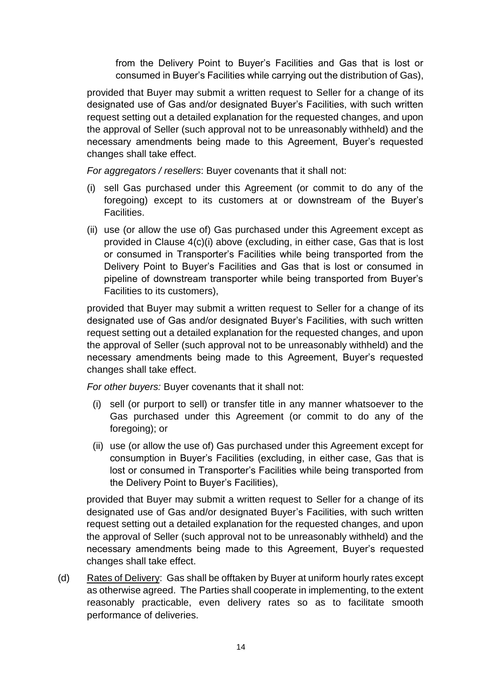from the Delivery Point to Buyer's Facilities and Gas that is lost or consumed in Buyer's Facilities while carrying out the distribution of Gas),

provided that Buyer may submit a written request to Seller for a change of its designated use of Gas and/or designated Buyer's Facilities, with such written request setting out a detailed explanation for the requested changes, and upon the approval of Seller (such approval not to be unreasonably withheld) and the necessary amendments being made to this Agreement, Buyer's requested changes shall take effect.

*For aggregators / resellers*: Buyer covenants that it shall not:

- (i) sell Gas purchased under this Agreement (or commit to do any of the foregoing) except to its customers at or downstream of the Buyer's Facilities.
- (ii) use (or allow the use of) Gas purchased under this Agreement except as provided in Clause 4(c)(i) above (excluding, in either case, Gas that is lost or consumed in Transporter's Facilities while being transported from the Delivery Point to Buyer's Facilities and Gas that is lost or consumed in pipeline of downstream transporter while being transported from Buyer's Facilities to its customers),

provided that Buyer may submit a written request to Seller for a change of its designated use of Gas and/or designated Buyer's Facilities, with such written request setting out a detailed explanation for the requested changes, and upon the approval of Seller (such approval not to be unreasonably withheld) and the necessary amendments being made to this Agreement, Buyer's requested changes shall take effect.

*For other buyers:* Buyer covenants that it shall not:

- (i) sell (or purport to sell) or transfer title in any manner whatsoever to the Gas purchased under this Agreement (or commit to do any of the foregoing); or
- (ii) use (or allow the use of) Gas purchased under this Agreement except for consumption in Buyer's Facilities (excluding, in either case, Gas that is lost or consumed in Transporter's Facilities while being transported from the Delivery Point to Buyer's Facilities),

provided that Buyer may submit a written request to Seller for a change of its designated use of Gas and/or designated Buyer's Facilities, with such written request setting out a detailed explanation for the requested changes, and upon the approval of Seller (such approval not to be unreasonably withheld) and the necessary amendments being made to this Agreement, Buyer's requested changes shall take effect.

(d) Rates of Delivery: Gas shall be offtaken by Buyer at uniform hourly rates except as otherwise agreed. The Parties shall cooperate in implementing, to the extent reasonably practicable, even delivery rates so as to facilitate smooth performance of deliveries.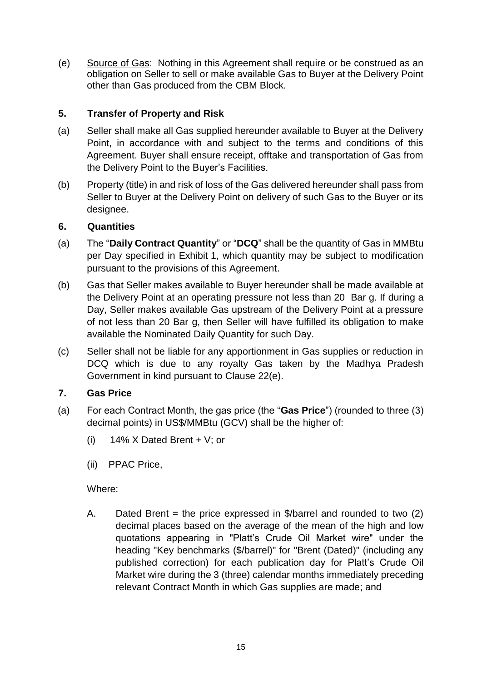(e) Source of Gas: Nothing in this Agreement shall require or be construed as an obligation on Seller to sell or make available Gas to Buyer at the Delivery Point other than Gas produced from the CBM Block.

#### <span id="page-16-0"></span>**5. Transfer of Property and Risk**

- (a) Seller shall make all Gas supplied hereunder available to Buyer at the Delivery Point, in accordance with and subject to the terms and conditions of this Agreement. Buyer shall ensure receipt, offtake and transportation of Gas from the Delivery Point to the Buyer's Facilities.
- (b) Property (title) in and risk of loss of the Gas delivered hereunder shall pass from Seller to Buyer at the Delivery Point on delivery of such Gas to the Buyer or its designee.

#### <span id="page-16-1"></span>**6. Quantities**

- (a) The "**Daily Contract Quantity**" or "**DCQ**" shall be the quantity of Gas in MMBtu per Day specified in Exhibit 1, which quantity may be subject to modification pursuant to the provisions of this Agreement.
- (b) Gas that Seller makes available to Buyer hereunder shall be made available at the Delivery Point at an operating pressure not less than 20 Bar g. If during a Day, Seller makes available Gas upstream of the Delivery Point at a pressure of not less than 20 Bar g, then Seller will have fulfilled its obligation to make available the Nominated Daily Quantity for such Day.
- (c) Seller shall not be liable for any apportionment in Gas supplies or reduction in DCQ which is due to any royalty Gas taken by the Madhya Pradesh Government in kind pursuant to Clause 22(e).

#### <span id="page-16-2"></span>**7. Gas Price**

- (a) For each Contract Month, the gas price (the "**Gas Price**") (rounded to three (3) decimal points) in US\$/MMBtu (GCV) shall be the higher of:
	- (i)  $14\%$  X Dated Brent + V; or
	- (ii) PPAC Price,

Where:

A. Dated Brent = the price expressed in  $\sqrt[6]{\sqrt{2}}$  and rounded to two (2) decimal places based on the average of the mean of the high and low quotations appearing in "Platt's Crude Oil Market wire" under the heading "Key benchmarks (\$/barrel)" for "Brent (Dated)" (including any published correction) for each publication day for Platt's Crude Oil Market wire during the 3 (three) calendar months immediately preceding relevant Contract Month in which Gas supplies are made; and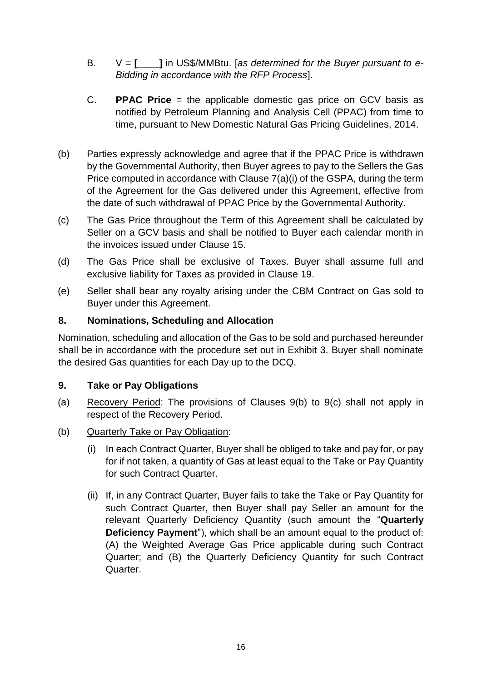- B. V = **[\_\_\_\_]** in US\$/MMBtu. [*as determined for the Buyer pursuant to e-Bidding in accordance with the RFP Process*].
- C. **PPAC Price** = the applicable domestic gas price on GCV basis as notified by Petroleum Planning and Analysis Cell (PPAC) from time to time, pursuant to New Domestic Natural Gas Pricing Guidelines, 2014.
- (b) Parties expressly acknowledge and agree that if the PPAC Price is withdrawn by the Governmental Authority, then Buyer agrees to pay to the Sellers the Gas Price computed in accordance with Clause 7(a)(i) of the GSPA, during the term of the Agreement for the Gas delivered under this Agreement, effective from the date of such withdrawal of PPAC Price by the Governmental Authority.
- (c) The Gas Price throughout the Term of this Agreement shall be calculated by Seller on a GCV basis and shall be notified to Buyer each calendar month in the invoices issued under Clause 15.
- (d) The Gas Price shall be exclusive of Taxes. Buyer shall assume full and exclusive liability for Taxes as provided in Clause 19.
- (e) Seller shall bear any royalty arising under the CBM Contract on Gas sold to Buyer under this Agreement.

### <span id="page-17-0"></span>**8. Nominations, Scheduling and Allocation**

Nomination, scheduling and allocation of the Gas to be sold and purchased hereunder shall be in accordance with the procedure set out in Exhibit 3. Buyer shall nominate the desired Gas quantities for each Day up to the DCQ.

#### <span id="page-17-1"></span>**9. Take or Pay Obligations**

- (a) Recovery Period: The provisions of Clauses 9(b) to 9(c) shall not apply in respect of the Recovery Period.
- (b) Quarterly Take or Pay Obligation:
	- (i) In each Contract Quarter, Buyer shall be obliged to take and pay for, or pay for if not taken, a quantity of Gas at least equal to the Take or Pay Quantity for such Contract Quarter.
	- (ii) If, in any Contract Quarter, Buyer fails to take the Take or Pay Quantity for such Contract Quarter, then Buyer shall pay Seller an amount for the relevant Quarterly Deficiency Quantity (such amount the "**Quarterly Deficiency Payment**"), which shall be an amount equal to the product of: (A) the Weighted Average Gas Price applicable during such Contract Quarter; and (B) the Quarterly Deficiency Quantity for such Contract Quarter.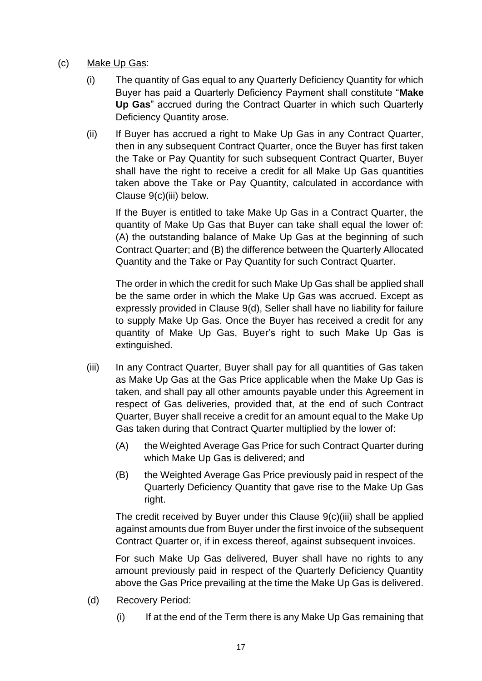- (c) Make Up Gas:
	- (i) The quantity of Gas equal to any Quarterly Deficiency Quantity for which Buyer has paid a Quarterly Deficiency Payment shall constitute "**Make Up Gas**" accrued during the Contract Quarter in which such Quarterly Deficiency Quantity arose.
	- (ii) If Buyer has accrued a right to Make Up Gas in any Contract Quarter, then in any subsequent Contract Quarter, once the Buyer has first taken the Take or Pay Quantity for such subsequent Contract Quarter, Buyer shall have the right to receive a credit for all Make Up Gas quantities taken above the Take or Pay Quantity, calculated in accordance with Clause 9(c)(iii) below.

If the Buyer is entitled to take Make Up Gas in a Contract Quarter, the quantity of Make Up Gas that Buyer can take shall equal the lower of: (A) the outstanding balance of Make Up Gas at the beginning of such Contract Quarter; and (B) the difference between the Quarterly Allocated Quantity and the Take or Pay Quantity for such Contract Quarter.

The order in which the credit for such Make Up Gas shall be applied shall be the same order in which the Make Up Gas was accrued. Except as expressly provided in Clause 9(d), Seller shall have no liability for failure to supply Make Up Gas. Once the Buyer has received a credit for any quantity of Make Up Gas, Buyer's right to such Make Up Gas is extinguished.

- (iii) In any Contract Quarter, Buyer shall pay for all quantities of Gas taken as Make Up Gas at the Gas Price applicable when the Make Up Gas is taken, and shall pay all other amounts payable under this Agreement in respect of Gas deliveries, provided that, at the end of such Contract Quarter, Buyer shall receive a credit for an amount equal to the Make Up Gas taken during that Contract Quarter multiplied by the lower of:
	- (A) the Weighted Average Gas Price for such Contract Quarter during which Make Up Gas is delivered; and
	- (B) the Weighted Average Gas Price previously paid in respect of the Quarterly Deficiency Quantity that gave rise to the Make Up Gas right.

The credit received by Buyer under this Clause 9(c)(iii) shall be applied against amounts due from Buyer under the first invoice of the subsequent Contract Quarter or, if in excess thereof, against subsequent invoices.

For such Make Up Gas delivered, Buyer shall have no rights to any amount previously paid in respect of the Quarterly Deficiency Quantity above the Gas Price prevailing at the time the Make Up Gas is delivered.

- (d) Recovery Period:
	- (i) If at the end of the Term there is any Make Up Gas remaining that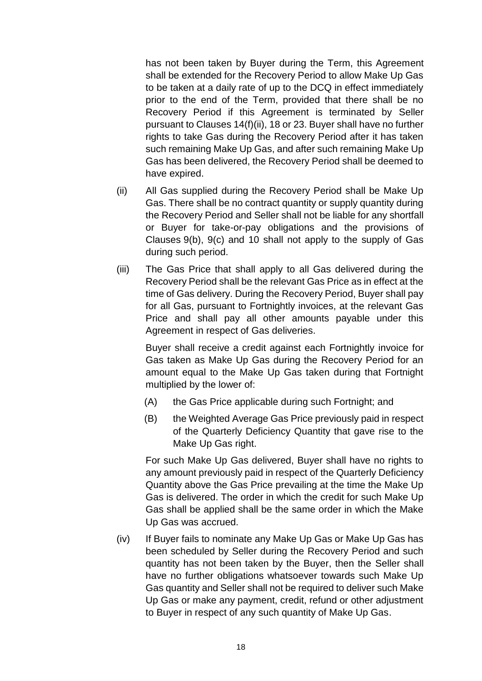has not been taken by Buyer during the Term, this Agreement shall be extended for the Recovery Period to allow Make Up Gas to be taken at a daily rate of up to the DCQ in effect immediately prior to the end of the Term, provided that there shall be no Recovery Period if this Agreement is terminated by Seller pursuant to Clauses 14(f)(ii), 18 or 23. Buyer shall have no further rights to take Gas during the Recovery Period after it has taken such remaining Make Up Gas, and after such remaining Make Up Gas has been delivered, the Recovery Period shall be deemed to have expired.

- (ii) All Gas supplied during the Recovery Period shall be Make Up Gas. There shall be no contract quantity or supply quantity during the Recovery Period and Seller shall not be liable for any shortfall or Buyer for take-or-pay obligations and the provisions of Clauses 9(b), 9(c) and 10 shall not apply to the supply of Gas during such period.
- (iii) The Gas Price that shall apply to all Gas delivered during the Recovery Period shall be the relevant Gas Price as in effect at the time of Gas delivery. During the Recovery Period, Buyer shall pay for all Gas, pursuant to Fortnightly invoices, at the relevant Gas Price and shall pay all other amounts payable under this Agreement in respect of Gas deliveries.

Buyer shall receive a credit against each Fortnightly invoice for Gas taken as Make Up Gas during the Recovery Period for an amount equal to the Make Up Gas taken during that Fortnight multiplied by the lower of:

- (A) the Gas Price applicable during such Fortnight; and
- (B) the Weighted Average Gas Price previously paid in respect of the Quarterly Deficiency Quantity that gave rise to the Make Up Gas right.

For such Make Up Gas delivered, Buyer shall have no rights to any amount previously paid in respect of the Quarterly Deficiency Quantity above the Gas Price prevailing at the time the Make Up Gas is delivered. The order in which the credit for such Make Up Gas shall be applied shall be the same order in which the Make Up Gas was accrued.

(iv) If Buyer fails to nominate any Make Up Gas or Make Up Gas has been scheduled by Seller during the Recovery Period and such quantity has not been taken by the Buyer, then the Seller shall have no further obligations whatsoever towards such Make Up Gas quantity and Seller shall not be required to deliver such Make Up Gas or make any payment, credit, refund or other adjustment to Buyer in respect of any such quantity of Make Up Gas.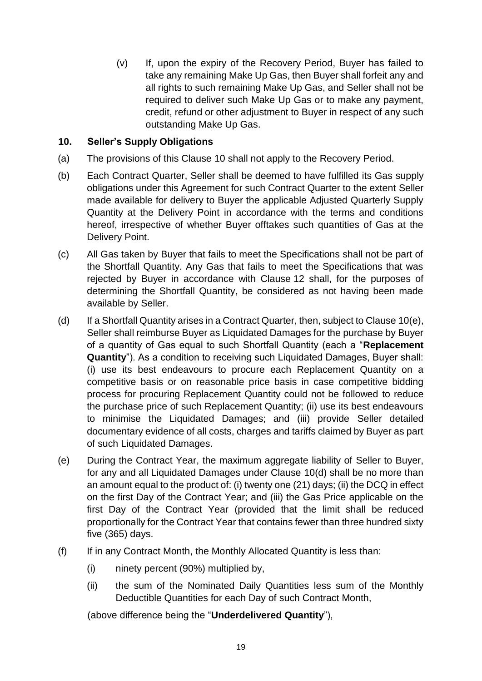(v) If, upon the expiry of the Recovery Period, Buyer has failed to take any remaining Make Up Gas, then Buyer shall forfeit any and all rights to such remaining Make Up Gas, and Seller shall not be required to deliver such Make Up Gas or to make any payment, credit, refund or other adjustment to Buyer in respect of any such outstanding Make Up Gas.

#### <span id="page-20-0"></span>**10. Seller's Supply Obligations**

- (a) The provisions of this Clause 10 shall not apply to the Recovery Period.
- (b) Each Contract Quarter, Seller shall be deemed to have fulfilled its Gas supply obligations under this Agreement for such Contract Quarter to the extent Seller made available for delivery to Buyer the applicable Adjusted Quarterly Supply Quantity at the Delivery Point in accordance with the terms and conditions hereof, irrespective of whether Buyer offtakes such quantities of Gas at the Delivery Point.
- (c) All Gas taken by Buyer that fails to meet the Specifications shall not be part of the Shortfall Quantity. Any Gas that fails to meet the Specifications that was rejected by Buyer in accordance with Clause 12 shall, for the purposes of determining the Shortfall Quantity, be considered as not having been made available by Seller.
- (d) If a Shortfall Quantity arises in a Contract Quarter, then, subject to Clause 10(e), Seller shall reimburse Buyer as Liquidated Damages for the purchase by Buyer of a quantity of Gas equal to such Shortfall Quantity (each a "**Replacement Quantity**"). As a condition to receiving such Liquidated Damages, Buyer shall: (i) use its best endeavours to procure each Replacement Quantity on a competitive basis or on reasonable price basis in case competitive bidding process for procuring Replacement Quantity could not be followed to reduce the purchase price of such Replacement Quantity; (ii) use its best endeavours to minimise the Liquidated Damages; and (iii) provide Seller detailed documentary evidence of all costs, charges and tariffs claimed by Buyer as part of such Liquidated Damages.
- (e) During the Contract Year, the maximum aggregate liability of Seller to Buyer, for any and all Liquidated Damages under Clause 10(d) shall be no more than an amount equal to the product of: (i) twenty one (21) days; (ii) the DCQ in effect on the first Day of the Contract Year; and (iii) the Gas Price applicable on the first Day of the Contract Year (provided that the limit shall be reduced proportionally for the Contract Year that contains fewer than three hundred sixty five (365) days.
- (f) If in any Contract Month, the Monthly Allocated Quantity is less than:
	- (i) ninety percent (90%) multiplied by,
	- (ii) the sum of the Nominated Daily Quantities less sum of the Monthly Deductible Quantities for each Day of such Contract Month,

(above difference being the "**Underdelivered Quantity**"),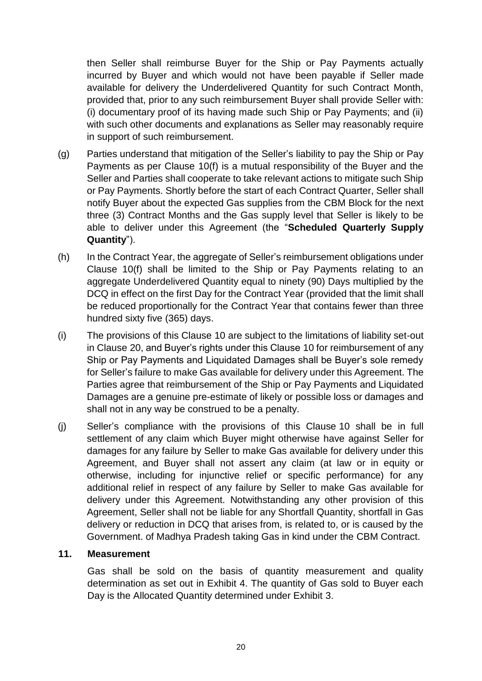then Seller shall reimburse Buyer for the Ship or Pay Payments actually incurred by Buyer and which would not have been payable if Seller made available for delivery the Underdelivered Quantity for such Contract Month, provided that, prior to any such reimbursement Buyer shall provide Seller with: (i) documentary proof of its having made such Ship or Pay Payments; and (ii) with such other documents and explanations as Seller may reasonably require in support of such reimbursement.

- (g) Parties understand that mitigation of the Seller's liability to pay the Ship or Pay Payments as per Clause 10(f) is a mutual responsibility of the Buyer and the Seller and Parties shall cooperate to take relevant actions to mitigate such Ship or Pay Payments. Shortly before the start of each Contract Quarter, Seller shall notify Buyer about the expected Gas supplies from the CBM Block for the next three (3) Contract Months and the Gas supply level that Seller is likely to be able to deliver under this Agreement (the "**Scheduled Quarterly Supply Quantity**").
- (h) In the Contract Year, the aggregate of Seller's reimbursement obligations under Clause 10(f) shall be limited to the Ship or Pay Payments relating to an aggregate Underdelivered Quantity equal to ninety (90) Days multiplied by the DCQ in effect on the first Day for the Contract Year (provided that the limit shall be reduced proportionally for the Contract Year that contains fewer than three hundred sixty five (365) days.
- (i) The provisions of this Clause 10 are subject to the limitations of liability set-out in Clause 20, and Buyer's rights under this Clause 10 for reimbursement of any Ship or Pay Payments and Liquidated Damages shall be Buyer's sole remedy for Seller's failure to make Gas available for delivery under this Agreement. The Parties agree that reimbursement of the Ship or Pay Payments and Liquidated Damages are a genuine pre-estimate of likely or possible loss or damages and shall not in any way be construed to be a penalty.
- (j) Seller's compliance with the provisions of this Clause 10 shall be in full settlement of any claim which Buyer might otherwise have against Seller for damages for any failure by Seller to make Gas available for delivery under this Agreement, and Buyer shall not assert any claim (at law or in equity or otherwise, including for injunctive relief or specific performance) for any additional relief in respect of any failure by Seller to make Gas available for delivery under this Agreement. Notwithstanding any other provision of this Agreement, Seller shall not be liable for any Shortfall Quantity, shortfall in Gas delivery or reduction in DCQ that arises from, is related to, or is caused by the Government. of Madhya Pradesh taking Gas in kind under the CBM Contract.

#### **11. Measurement**

<span id="page-21-0"></span>Gas shall be sold on the basis of quantity measurement and quality determination as set out in Exhibit 4. The quantity of Gas sold to Buyer each Day is the Allocated Quantity determined under Exhibit 3.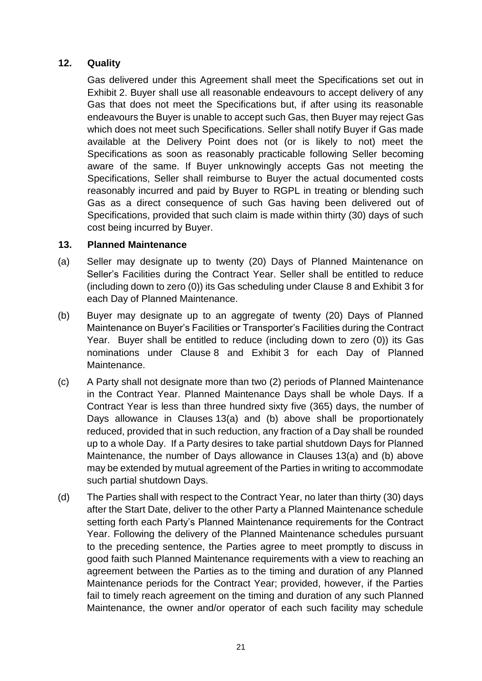#### **12. Quality**

<span id="page-22-0"></span>Gas delivered under this Agreement shall meet the Specifications set out in Exhibit 2. Buyer shall use all reasonable endeavours to accept delivery of any Gas that does not meet the Specifications but, if after using its reasonable endeavours the Buyer is unable to accept such Gas, then Buyer may reject Gas which does not meet such Specifications. Seller shall notify Buyer if Gas made available at the Delivery Point does not (or is likely to not) meet the Specifications as soon as reasonably practicable following Seller becoming aware of the same. If Buyer unknowingly accepts Gas not meeting the Specifications, Seller shall reimburse to Buyer the actual documented costs reasonably incurred and paid by Buyer to RGPL in treating or blending such Gas as a direct consequence of such Gas having been delivered out of Specifications, provided that such claim is made within thirty (30) days of such cost being incurred by Buyer.

#### <span id="page-22-1"></span>**13. Planned Maintenance**

- (a) Seller may designate up to twenty (20) Days of Planned Maintenance on Seller's Facilities during the Contract Year. Seller shall be entitled to reduce (including down to zero (0)) its Gas scheduling under Clause 8 and Exhibit 3 for each Day of Planned Maintenance.
- (b) Buyer may designate up to an aggregate of twenty (20) Days of Planned Maintenance on Buyer's Facilities or Transporter's Facilities during the Contract Year. Buyer shall be entitled to reduce (including down to zero (0)) its Gas nominations under Clause 8 and Exhibit 3 for each Day of Planned Maintenance.
- (c) A Party shall not designate more than two (2) periods of Planned Maintenance in the Contract Year. Planned Maintenance Days shall be whole Days. If a Contract Year is less than three hundred sixty five (365) days, the number of Days allowance in Clauses 13(a) and (b) above shall be proportionately reduced, provided that in such reduction, any fraction of a Day shall be rounded up to a whole Day. If a Party desires to take partial shutdown Days for Planned Maintenance, the number of Days allowance in Clauses 13(a) and (b) above may be extended by mutual agreement of the Parties in writing to accommodate such partial shutdown Days.
- (d) The Parties shall with respect to the Contract Year, no later than thirty (30) days after the Start Date, deliver to the other Party a Planned Maintenance schedule setting forth each Party's Planned Maintenance requirements for the Contract Year. Following the delivery of the Planned Maintenance schedules pursuant to the preceding sentence, the Parties agree to meet promptly to discuss in good faith such Planned Maintenance requirements with a view to reaching an agreement between the Parties as to the timing and duration of any Planned Maintenance periods for the Contract Year; provided, however, if the Parties fail to timely reach agreement on the timing and duration of any such Planned Maintenance, the owner and/or operator of each such facility may schedule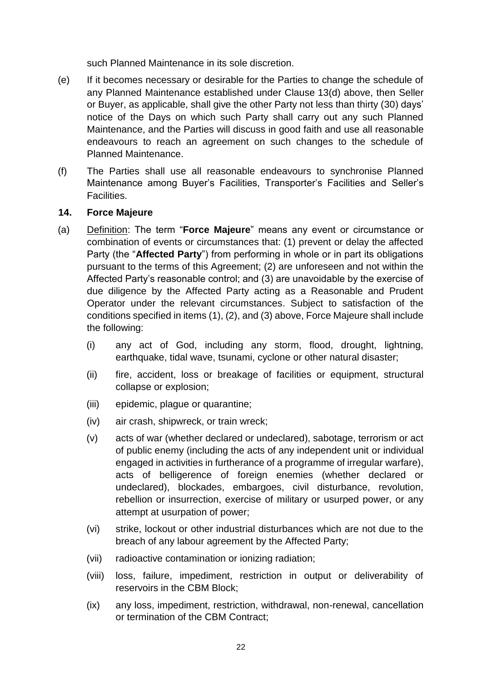such Planned Maintenance in its sole discretion.

- (e) If it becomes necessary or desirable for the Parties to change the schedule of any Planned Maintenance established under Clause 13(d) above, then Seller or Buyer, as applicable, shall give the other Party not less than thirty (30) days' notice of the Days on which such Party shall carry out any such Planned Maintenance, and the Parties will discuss in good faith and use all reasonable endeavours to reach an agreement on such changes to the schedule of Planned Maintenance.
- (f) The Parties shall use all reasonable endeavours to synchronise Planned Maintenance among Buyer's Facilities, Transporter's Facilities and Seller's Facilities.

#### <span id="page-23-0"></span>**14. Force Majeure**

- (a) Definition: The term "**Force Majeure**" means any event or circumstance or combination of events or circumstances that: (1) prevent or delay the affected Party (the "**Affected Party**") from performing in whole or in part its obligations pursuant to the terms of this Agreement; (2) are unforeseen and not within the Affected Party's reasonable control; and (3) are unavoidable by the exercise of due diligence by the Affected Party acting as a Reasonable and Prudent Operator under the relevant circumstances. Subject to satisfaction of the conditions specified in items (1), (2), and (3) above, Force Majeure shall include the following:
	- (i) any act of God, including any storm, flood, drought, lightning, earthquake, tidal wave, tsunami, cyclone or other natural disaster;
	- (ii) fire, accident, loss or breakage of facilities or equipment, structural collapse or explosion;
	- (iii) epidemic, plague or quarantine;
	- (iv) air crash, shipwreck, or train wreck;
	- (v) acts of war (whether declared or undeclared), sabotage, terrorism or act of public enemy (including the acts of any independent unit or individual engaged in activities in furtherance of a programme of irregular warfare), acts of belligerence of foreign enemies (whether declared or undeclared), blockades, embargoes, civil disturbance, revolution, rebellion or insurrection, exercise of military or usurped power, or any attempt at usurpation of power;
	- (vi) strike, lockout or other industrial disturbances which are not due to the breach of any labour agreement by the Affected Party;
	- (vii) radioactive contamination or ionizing radiation;
	- (viii) loss, failure, impediment, restriction in output or deliverability of reservoirs in the CBM Block;
	- (ix) any loss, impediment, restriction, withdrawal, non-renewal, cancellation or termination of the CBM Contract;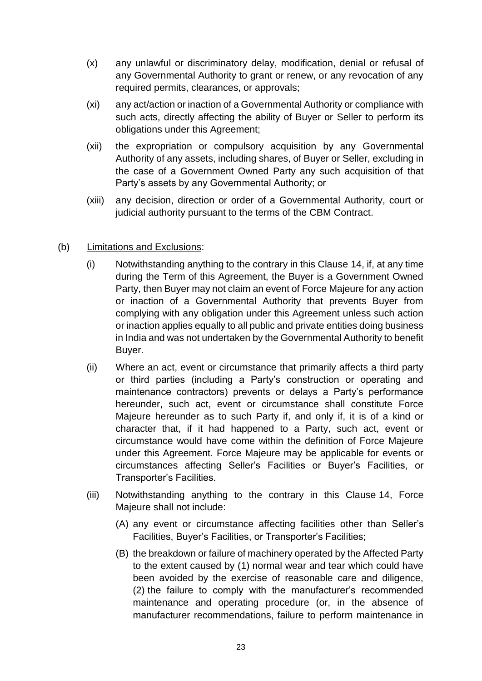- (x) any unlawful or discriminatory delay, modification, denial or refusal of any Governmental Authority to grant or renew, or any revocation of any required permits, clearances, or approvals;
- (xi) any act/action or inaction of a Governmental Authority or compliance with such acts, directly affecting the ability of Buyer or Seller to perform its obligations under this Agreement;
- (xii) the expropriation or compulsory acquisition by any Governmental Authority of any assets, including shares, of Buyer or Seller, excluding in the case of a Government Owned Party any such acquisition of that Party's assets by any Governmental Authority; or
- (xiii) any decision, direction or order of a Governmental Authority, court or judicial authority pursuant to the terms of the CBM Contract.
- (b) Limitations and Exclusions:
	- (i) Notwithstanding anything to the contrary in this Clause 14, if, at any time during the Term of this Agreement, the Buyer is a Government Owned Party, then Buyer may not claim an event of Force Majeure for any action or inaction of a Governmental Authority that prevents Buyer from complying with any obligation under this Agreement unless such action or inaction applies equally to all public and private entities doing business in India and was not undertaken by the Governmental Authority to benefit Buyer.
	- (ii) Where an act, event or circumstance that primarily affects a third party or third parties (including a Party's construction or operating and maintenance contractors) prevents or delays a Party's performance hereunder, such act, event or circumstance shall constitute Force Majeure hereunder as to such Party if, and only if, it is of a kind or character that, if it had happened to a Party, such act, event or circumstance would have come within the definition of Force Majeure under this Agreement. Force Majeure may be applicable for events or circumstances affecting Seller's Facilities or Buyer's Facilities, or Transporter's Facilities.
	- (iii) Notwithstanding anything to the contrary in this Clause 14, Force Majeure shall not include:
		- (A) any event or circumstance affecting facilities other than Seller's Facilities, Buyer's Facilities, or Transporter's Facilities;
		- (B) the breakdown or failure of machinery operated by the Affected Party to the extent caused by (1) normal wear and tear which could have been avoided by the exercise of reasonable care and diligence, (2) the failure to comply with the manufacturer's recommended maintenance and operating procedure (or, in the absence of manufacturer recommendations, failure to perform maintenance in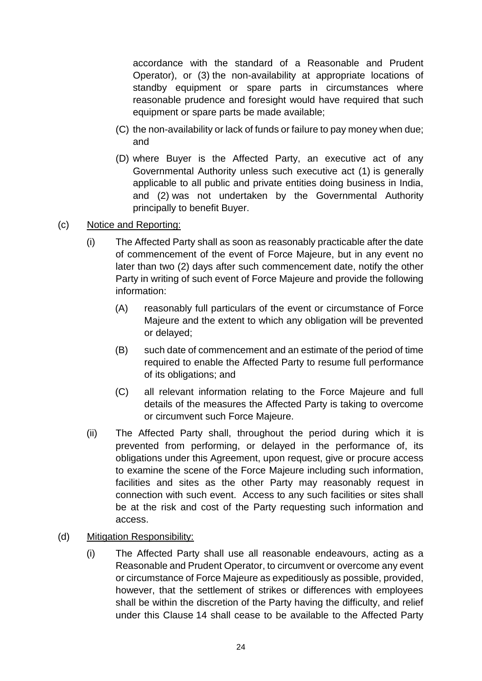accordance with the standard of a Reasonable and Prudent Operator), or (3) the non-availability at appropriate locations of standby equipment or spare parts in circumstances where reasonable prudence and foresight would have required that such equipment or spare parts be made available;

- (C) the non-availability or lack of funds or failure to pay money when due; and
- (D) where Buyer is the Affected Party, an executive act of any Governmental Authority unless such executive act (1) is generally applicable to all public and private entities doing business in India, and (2) was not undertaken by the Governmental Authority principally to benefit Buyer.
- (c) Notice and Reporting:
	- (i) The Affected Party shall as soon as reasonably practicable after the date of commencement of the event of Force Majeure, but in any event no later than two (2) days after such commencement date, notify the other Party in writing of such event of Force Majeure and provide the following information:
		- (A) reasonably full particulars of the event or circumstance of Force Majeure and the extent to which any obligation will be prevented or delayed;
		- (B) such date of commencement and an estimate of the period of time required to enable the Affected Party to resume full performance of its obligations; and
		- (C) all relevant information relating to the Force Majeure and full details of the measures the Affected Party is taking to overcome or circumvent such Force Majeure.
	- (ii) The Affected Party shall, throughout the period during which it is prevented from performing, or delayed in the performance of, its obligations under this Agreement, upon request, give or procure access to examine the scene of the Force Majeure including such information, facilities and sites as the other Party may reasonably request in connection with such event. Access to any such facilities or sites shall be at the risk and cost of the Party requesting such information and access.
- (d) Mitigation Responsibility:
	- (i) The Affected Party shall use all reasonable endeavours, acting as a Reasonable and Prudent Operator, to circumvent or overcome any event or circumstance of Force Majeure as expeditiously as possible, provided, however, that the settlement of strikes or differences with employees shall be within the discretion of the Party having the difficulty, and relief under this Clause 14 shall cease to be available to the Affected Party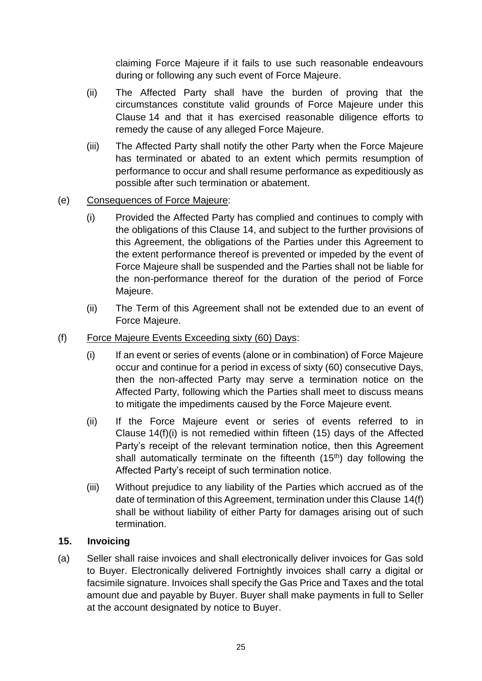claiming Force Majeure if it fails to use such reasonable endeavours during or following any such event of Force Majeure.

- (ii) The Affected Party shall have the burden of proving that the circumstances constitute valid grounds of Force Majeure under this Clause 14 and that it has exercised reasonable diligence efforts to remedy the cause of any alleged Force Majeure.
- (iii) The Affected Party shall notify the other Party when the Force Majeure has terminated or abated to an extent which permits resumption of performance to occur and shall resume performance as expeditiously as possible after such termination or abatement.

#### (e) Consequences of Force Majeure:

- (i) Provided the Affected Party has complied and continues to comply with the obligations of this Clause 14, and subject to the further provisions of this Agreement, the obligations of the Parties under this Agreement to the extent performance thereof is prevented or impeded by the event of Force Majeure shall be suspended and the Parties shall not be liable for the non-performance thereof for the duration of the period of Force Majeure.
- (ii) The Term of this Agreement shall not be extended due to an event of Force Majeure.
- (f) Force Majeure Events Exceeding sixty (60) Days:
	- (i) If an event or series of events (alone or in combination) of Force Majeure occur and continue for a period in excess of sixty (60) consecutive Days, then the non-affected Party may serve a termination notice on the Affected Party, following which the Parties shall meet to discuss means to mitigate the impediments caused by the Force Majeure event.
	- (ii) If the Force Majeure event or series of events referred to in Clause 14(f)(i) is not remedied within fifteen (15) days of the Affected Party's receipt of the relevant termination notice, then this Agreement shall automatically terminate on the fifteenth (15<sup>th</sup>) day following the Affected Party's receipt of such termination notice.
	- (iii) Without prejudice to any liability of the Parties which accrued as of the date of termination of this Agreement, termination under this Clause 14(f) shall be without liability of either Party for damages arising out of such termination.

#### <span id="page-26-0"></span>**15. Invoicing**

(a) Seller shall raise invoices and shall electronically deliver invoices for Gas sold to Buyer. Electronically delivered Fortnightly invoices shall carry a digital or facsimile signature. Invoices shall specify the Gas Price and Taxes and the total amount due and payable by Buyer. Buyer shall make payments in full to Seller at the account designated by notice to Buyer.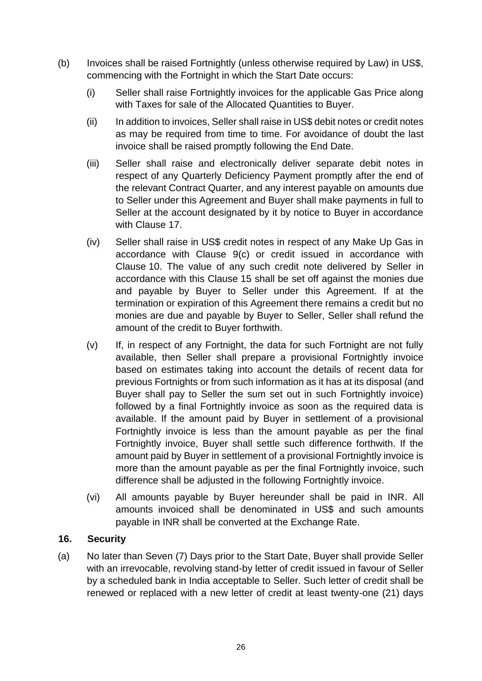- (b) Invoices shall be raised Fortnightly (unless otherwise required by Law) in US\$, commencing with the Fortnight in which the Start Date occurs:
	- (i) Seller shall raise Fortnightly invoices for the applicable Gas Price along with Taxes for sale of the Allocated Quantities to Buyer.
	- (ii) In addition to invoices, Seller shall raise in US\$ debit notes or credit notes as may be required from time to time. For avoidance of doubt the last invoice shall be raised promptly following the End Date.
	- (iii) Seller shall raise and electronically deliver separate debit notes in respect of any Quarterly Deficiency Payment promptly after the end of the relevant Contract Quarter, and any interest payable on amounts due to Seller under this Agreement and Buyer shall make payments in full to Seller at the account designated by it by notice to Buyer in accordance with Clause 17.
	- (iv) Seller shall raise in US\$ credit notes in respect of any Make Up Gas in accordance with Clause 9(c) or credit issued in accordance with Clause 10. The value of any such credit note delivered by Seller in accordance with this Clause 15 shall be set off against the monies due and payable by Buyer to Seller under this Agreement. If at the termination or expiration of this Agreement there remains a credit but no monies are due and payable by Buyer to Seller, Seller shall refund the amount of the credit to Buyer forthwith.
	- (v) If, in respect of any Fortnight, the data for such Fortnight are not fully available, then Seller shall prepare a provisional Fortnightly invoice based on estimates taking into account the details of recent data for previous Fortnights or from such information as it has at its disposal (and Buyer shall pay to Seller the sum set out in such Fortnightly invoice) followed by a final Fortnightly invoice as soon as the required data is available. If the amount paid by Buyer in settlement of a provisional Fortnightly invoice is less than the amount payable as per the final Fortnightly invoice, Buyer shall settle such difference forthwith. If the amount paid by Buyer in settlement of a provisional Fortnightly invoice is more than the amount payable as per the final Fortnightly invoice, such difference shall be adjusted in the following Fortnightly invoice.
	- (vi) All amounts payable by Buyer hereunder shall be paid in INR. All amounts invoiced shall be denominated in US\$ and such amounts payable in INR shall be converted at the Exchange Rate.

#### <span id="page-27-0"></span>**16. Security**

(a) No later than Seven (7) Days prior to the Start Date, Buyer shall provide Seller with an irrevocable, revolving stand-by letter of credit issued in favour of Seller by a scheduled bank in India acceptable to Seller. Such letter of credit shall be renewed or replaced with a new letter of credit at least twenty-one (21) days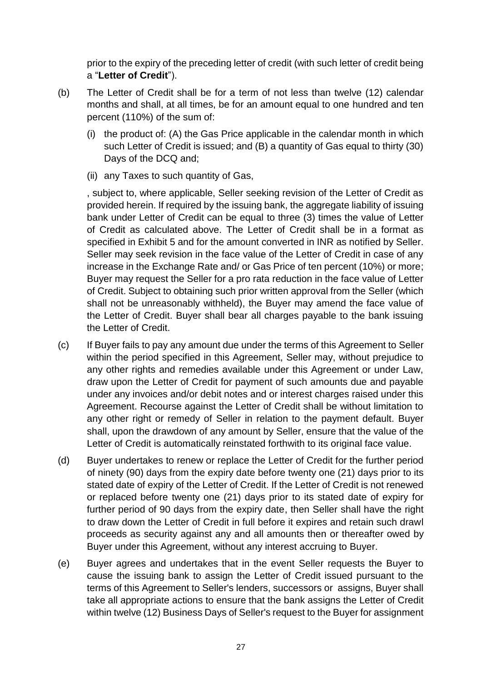prior to the expiry of the preceding letter of credit (with such letter of credit being a "**Letter of Credit**").

- (b) The Letter of Credit shall be for a term of not less than twelve (12) calendar months and shall, at all times, be for an amount equal to one hundred and ten percent (110%) of the sum of:
	- (i) the product of: (A) the Gas Price applicable in the calendar month in which such Letter of Credit is issued; and (B) a quantity of Gas equal to thirty (30) Days of the DCQ and;
	- (ii) any Taxes to such quantity of Gas,

, subject to, where applicable, Seller seeking revision of the Letter of Credit as provided herein. If required by the issuing bank, the aggregate liability of issuing bank under Letter of Credit can be equal to three (3) times the value of Letter of Credit as calculated above. The Letter of Credit shall be in a format as specified in Exhibit 5 and for the amount converted in INR as notified by Seller. Seller may seek revision in the face value of the Letter of Credit in case of any increase in the Exchange Rate and/ or Gas Price of ten percent (10%) or more; Buyer may request the Seller for a pro rata reduction in the face value of Letter of Credit. Subject to obtaining such prior written approval from the Seller (which shall not be unreasonably withheld), the Buyer may amend the face value of the Letter of Credit. Buyer shall bear all charges payable to the bank issuing the Letter of Credit.

- (c) If Buyer fails to pay any amount due under the terms of this Agreement to Seller within the period specified in this Agreement, Seller may, without prejudice to any other rights and remedies available under this Agreement or under Law, draw upon the Letter of Credit for payment of such amounts due and payable under any invoices and/or debit notes and or interest charges raised under this Agreement. Recourse against the Letter of Credit shall be without limitation to any other right or remedy of Seller in relation to the payment default. Buyer shall, upon the drawdown of any amount by Seller, ensure that the value of the Letter of Credit is automatically reinstated forthwith to its original face value.
- (d) Buyer undertakes to renew or replace the Letter of Credit for the further period of ninety (90) days from the expiry date before twenty one (21) days prior to its stated date of expiry of the Letter of Credit. If the Letter of Credit is not renewed or replaced before twenty one (21) days prior to its stated date of expiry for further period of 90 days from the expiry date, then Seller shall have the right to draw down the Letter of Credit in full before it expires and retain such drawl proceeds as security against any and all amounts then or thereafter owed by Buyer under this Agreement, without any interest accruing to Buyer.
- (e) Buyer agrees and undertakes that in the event Seller requests the Buyer to cause the issuing bank to assign the Letter of Credit issued pursuant to the terms of this Agreement to Seller's lenders, successors or assigns, Buyer shall take all appropriate actions to ensure that the bank assigns the Letter of Credit within twelve (12) Business Days of Seller's request to the Buyer for assignment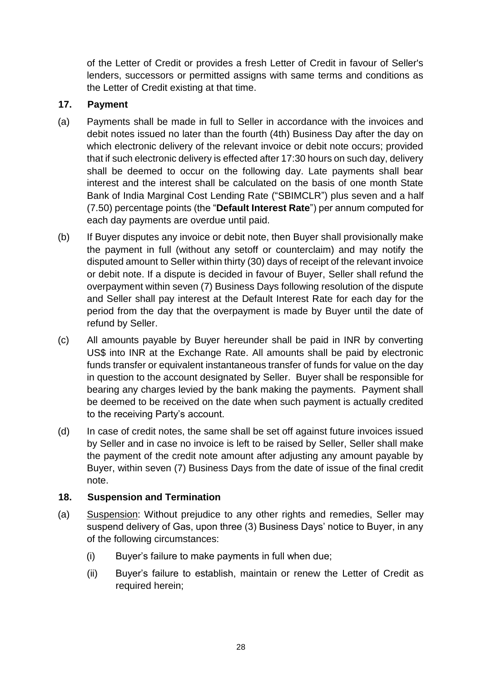of the Letter of Credit or provides a fresh Letter of Credit in favour of Seller's lenders, successors or permitted assigns with same terms and conditions as the Letter of Credit existing at that time.

#### <span id="page-29-0"></span>**17. Payment**

- (a) Payments shall be made in full to Seller in accordance with the invoices and debit notes issued no later than the fourth (4th) Business Day after the day on which electronic delivery of the relevant invoice or debit note occurs; provided that if such electronic delivery is effected after 17:30 hours on such day, delivery shall be deemed to occur on the following day. Late payments shall bear interest and the interest shall be calculated on the basis of one month State Bank of India Marginal Cost Lending Rate ("SBIMCLR") plus seven and a half (7.50) percentage points (the "**Default Interest Rate**") per annum computed for each day payments are overdue until paid.
- (b) If Buyer disputes any invoice or debit note, then Buyer shall provisionally make the payment in full (without any setoff or counterclaim) and may notify the disputed amount to Seller within thirty (30) days of receipt of the relevant invoice or debit note. If a dispute is decided in favour of Buyer, Seller shall refund the overpayment within seven (7) Business Days following resolution of the dispute and Seller shall pay interest at the Default Interest Rate for each day for the period from the day that the overpayment is made by Buyer until the date of refund by Seller.
- (c) All amounts payable by Buyer hereunder shall be paid in INR by converting US\$ into INR at the Exchange Rate. All amounts shall be paid by electronic funds transfer or equivalent instantaneous transfer of funds for value on the day in question to the account designated by Seller. Buyer shall be responsible for bearing any charges levied by the bank making the payments. Payment shall be deemed to be received on the date when such payment is actually credited to the receiving Party's account.
- (d) In case of credit notes, the same shall be set off against future invoices issued by Seller and in case no invoice is left to be raised by Seller, Seller shall make the payment of the credit note amount after adjusting any amount payable by Buyer, within seven (7) Business Days from the date of issue of the final credit note.

#### <span id="page-29-1"></span>**18. Suspension and Termination**

- (a) Suspension: Without prejudice to any other rights and remedies, Seller may suspend delivery of Gas, upon three (3) Business Days' notice to Buyer, in any of the following circumstances:
	- (i) Buyer's failure to make payments in full when due;
	- (ii) Buyer's failure to establish, maintain or renew the Letter of Credit as required herein;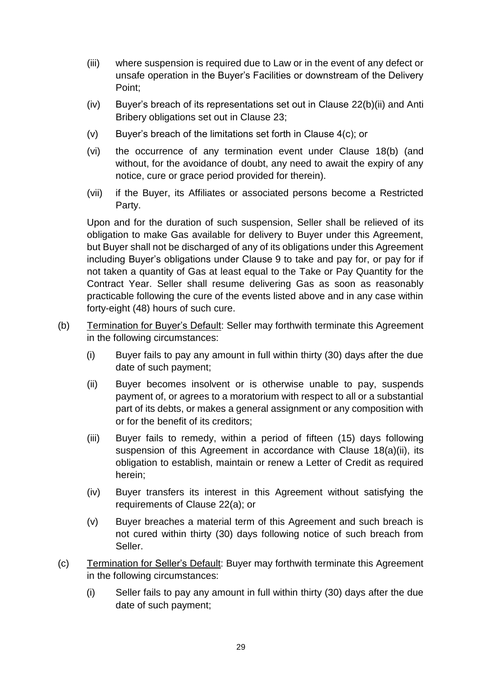- (iii) where suspension is required due to Law or in the event of any defect or unsafe operation in the Buyer's Facilities or downstream of the Delivery Point;
- (iv) Buyer's breach of its representations set out in Clause 22(b)(ii) and Anti Bribery obligations set out in Clause 23;
- (v) Buyer's breach of the limitations set forth in Clause 4(c); or
- (vi) the occurrence of any termination event under Clause 18(b) (and without, for the avoidance of doubt, any need to await the expiry of any notice, cure or grace period provided for therein).
- (vii) if the Buyer, its Affiliates or associated persons become a Restricted Party.

Upon and for the duration of such suspension, Seller shall be relieved of its obligation to make Gas available for delivery to Buyer under this Agreement, but Buyer shall not be discharged of any of its obligations under this Agreement including Buyer's obligations under Clause 9 to take and pay for, or pay for if not taken a quantity of Gas at least equal to the Take or Pay Quantity for the Contract Year. Seller shall resume delivering Gas as soon as reasonably practicable following the cure of the events listed above and in any case within forty-eight (48) hours of such cure.

- (b) Termination for Buyer's Default: Seller may forthwith terminate this Agreement in the following circumstances:
	- (i) Buyer fails to pay any amount in full within thirty (30) days after the due date of such payment;
	- (ii) Buyer becomes insolvent or is otherwise unable to pay, suspends payment of, or agrees to a moratorium with respect to all or a substantial part of its debts, or makes a general assignment or any composition with or for the benefit of its creditors;
	- (iii) Buyer fails to remedy, within a period of fifteen (15) days following suspension of this Agreement in accordance with Clause 18(a)(ii), its obligation to establish, maintain or renew a Letter of Credit as required herein;
	- (iv) Buyer transfers its interest in this Agreement without satisfying the requirements of Clause 22(a); or
	- (v) Buyer breaches a material term of this Agreement and such breach is not cured within thirty (30) days following notice of such breach from Seller.
- (c) Termination for Seller's Default: Buyer may forthwith terminate this Agreement in the following circumstances:
	- (i) Seller fails to pay any amount in full within thirty (30) days after the due date of such payment;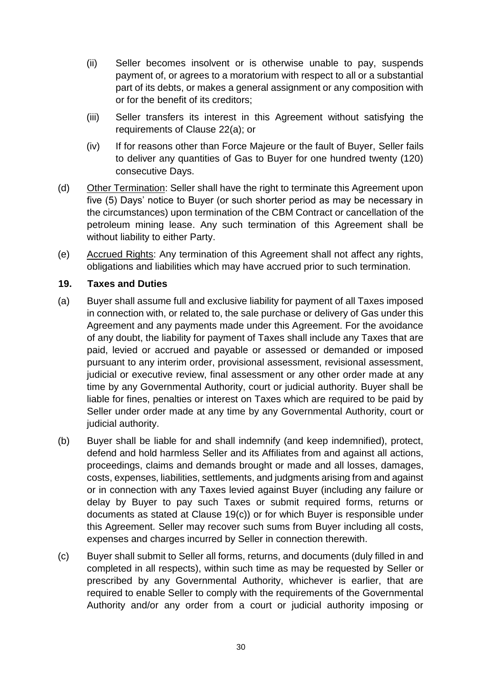- (ii) Seller becomes insolvent or is otherwise unable to pay, suspends payment of, or agrees to a moratorium with respect to all or a substantial part of its debts, or makes a general assignment or any composition with or for the benefit of its creditors;
- (iii) Seller transfers its interest in this Agreement without satisfying the requirements of Clause 22(a); or
- (iv) If for reasons other than Force Majeure or the fault of Buyer, Seller fails to deliver any quantities of Gas to Buyer for one hundred twenty (120) consecutive Days.
- (d) Other Termination: Seller shall have the right to terminate this Agreement upon five (5) Days' notice to Buyer (or such shorter period as may be necessary in the circumstances) upon termination of the CBM Contract or cancellation of the petroleum mining lease. Any such termination of this Agreement shall be without liability to either Party.
- (e) Accrued Rights: Any termination of this Agreement shall not affect any rights, obligations and liabilities which may have accrued prior to such termination.

#### <span id="page-31-0"></span>**19. Taxes and Duties**

- (a) Buyer shall assume full and exclusive liability for payment of all Taxes imposed in connection with, or related to, the sale purchase or delivery of Gas under this Agreement and any payments made under this Agreement. For the avoidance of any doubt, the liability for payment of Taxes shall include any Taxes that are paid, levied or accrued and payable or assessed or demanded or imposed pursuant to any interim order, provisional assessment, revisional assessment, judicial or executive review, final assessment or any other order made at any time by any Governmental Authority, court or judicial authority. Buyer shall be liable for fines, penalties or interest on Taxes which are required to be paid by Seller under order made at any time by any Governmental Authority, court or judicial authority.
- (b) Buyer shall be liable for and shall indemnify (and keep indemnified), protect, defend and hold harmless Seller and its Affiliates from and against all actions, proceedings, claims and demands brought or made and all losses, damages, costs, expenses, liabilities, settlements, and judgments arising from and against or in connection with any Taxes levied against Buyer (including any failure or delay by Buyer to pay such Taxes or submit required forms, returns or documents as stated at Clause 19(c)) or for which Buyer is responsible under this Agreement. Seller may recover such sums from Buyer including all costs, expenses and charges incurred by Seller in connection therewith.
- (c) Buyer shall submit to Seller all forms, returns, and documents (duly filled in and completed in all respects), within such time as may be requested by Seller or prescribed by any Governmental Authority, whichever is earlier, that are required to enable Seller to comply with the requirements of the Governmental Authority and/or any order from a court or judicial authority imposing or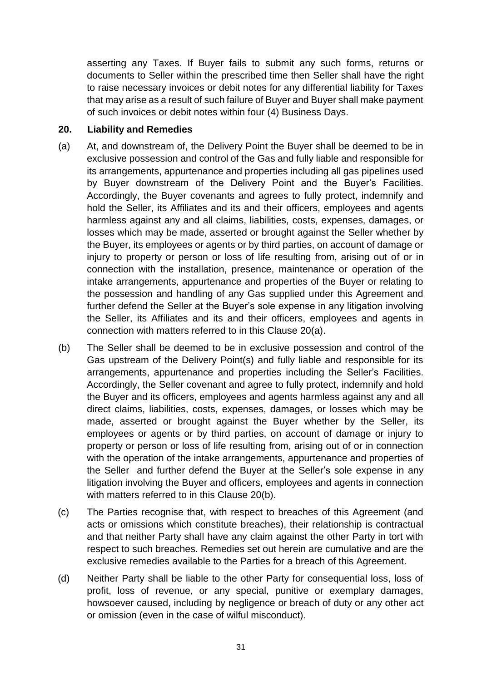asserting any Taxes. If Buyer fails to submit any such forms, returns or documents to Seller within the prescribed time then Seller shall have the right to raise necessary invoices or debit notes for any differential liability for Taxes that may arise as a result of such failure of Buyer and Buyer shall make payment of such invoices or debit notes within four (4) Business Days.

#### <span id="page-32-0"></span>**20. Liability and Remedies**

- (a) At, and downstream of, the Delivery Point the Buyer shall be deemed to be in exclusive possession and control of the Gas and fully liable and responsible for its arrangements, appurtenance and properties including all gas pipelines used by Buyer downstream of the Delivery Point and the Buyer's Facilities. Accordingly, the Buyer covenants and agrees to fully protect, indemnify and hold the Seller, its Affiliates and its and their officers, employees and agents harmless against any and all claims, liabilities, costs, expenses, damages, or losses which may be made, asserted or brought against the Seller whether by the Buyer, its employees or agents or by third parties, on account of damage or injury to property or person or loss of life resulting from, arising out of or in connection with the installation, presence, maintenance or operation of the intake arrangements, appurtenance and properties of the Buyer or relating to the possession and handling of any Gas supplied under this Agreement and further defend the Seller at the Buyer's sole expense in any litigation involving the Seller, its Affiliates and its and their officers, employees and agents in connection with matters referred to in this Clause 20(a).
- (b) The Seller shall be deemed to be in exclusive possession and control of the Gas upstream of the Delivery Point(s) and fully liable and responsible for its arrangements, appurtenance and properties including the Seller's Facilities. Accordingly, the Seller covenant and agree to fully protect, indemnify and hold the Buyer and its officers, employees and agents harmless against any and all direct claims, liabilities, costs, expenses, damages, or losses which may be made, asserted or brought against the Buyer whether by the Seller, its employees or agents or by third parties, on account of damage or injury to property or person or loss of life resulting from, arising out of or in connection with the operation of the intake arrangements, appurtenance and properties of the Seller and further defend the Buyer at the Seller's sole expense in any litigation involving the Buyer and officers, employees and agents in connection with matters referred to in this Clause 20(b).
- (c) The Parties recognise that, with respect to breaches of this Agreement (and acts or omissions which constitute breaches), their relationship is contractual and that neither Party shall have any claim against the other Party in tort with respect to such breaches. Remedies set out herein are cumulative and are the exclusive remedies available to the Parties for a breach of this Agreement.
- (d) Neither Party shall be liable to the other Party for consequential loss, loss of profit, loss of revenue, or any special, punitive or exemplary damages, howsoever caused, including by negligence or breach of duty or any other act or omission (even in the case of wilful misconduct).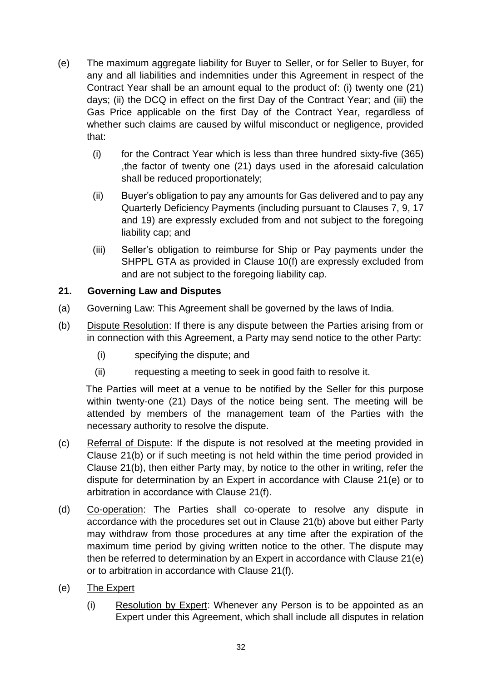- (e) The maximum aggregate liability for Buyer to Seller, or for Seller to Buyer, for any and all liabilities and indemnities under this Agreement in respect of the Contract Year shall be an amount equal to the product of: (i) twenty one (21) days; (ii) the DCQ in effect on the first Day of the Contract Year; and (iii) the Gas Price applicable on the first Day of the Contract Year, regardless of whether such claims are caused by wilful misconduct or negligence, provided that:
	- (i) for the Contract Year which is less than three hundred sixty-five (365) ,the factor of twenty one (21) days used in the aforesaid calculation shall be reduced proportionately;
	- (ii) Buyer's obligation to pay any amounts for Gas delivered and to pay any Quarterly Deficiency Payments (including pursuant to Clauses 7, 9, 17 and 19) are expressly excluded from and not subject to the foregoing liability cap; and
	- (iii) Seller's obligation to reimburse for Ship or Pay payments under the SHPPL GTA as provided in Clause 10(f) are expressly excluded from and are not subject to the foregoing liability cap.

## <span id="page-33-0"></span>**21. Governing Law and Disputes**

- (a) Governing Law: This Agreement shall be governed by the laws of India.
- (b) Dispute Resolution: If there is any dispute between the Parties arising from or in connection with this Agreement, a Party may send notice to the other Party:
	- (i) specifying the dispute; and
	- (ii) requesting a meeting to seek in good faith to resolve it.

The Parties will meet at a venue to be notified by the Seller for this purpose within twenty-one (21) Days of the notice being sent. The meeting will be attended by members of the management team of the Parties with the necessary authority to resolve the dispute.

- (c) Referral of Dispute: If the dispute is not resolved at the meeting provided in Clause 21(b) or if such meeting is not held within the time period provided in Clause 21(b), then either Party may, by notice to the other in writing, refer the dispute for determination by an Expert in accordance with Clause 21(e) or to arbitration in accordance with Clause 21(f).
- (d) Co-operation: The Parties shall co-operate to resolve any dispute in accordance with the procedures set out in Clause 21(b) above but either Party may withdraw from those procedures at any time after the expiration of the maximum time period by giving written notice to the other. The dispute may then be referred to determination by an Expert in accordance with Clause 21(e) or to arbitration in accordance with Clause 21(f).
- (e) The Expert
	- (i) Resolution by Expert: Whenever any Person is to be appointed as an Expert under this Agreement, which shall include all disputes in relation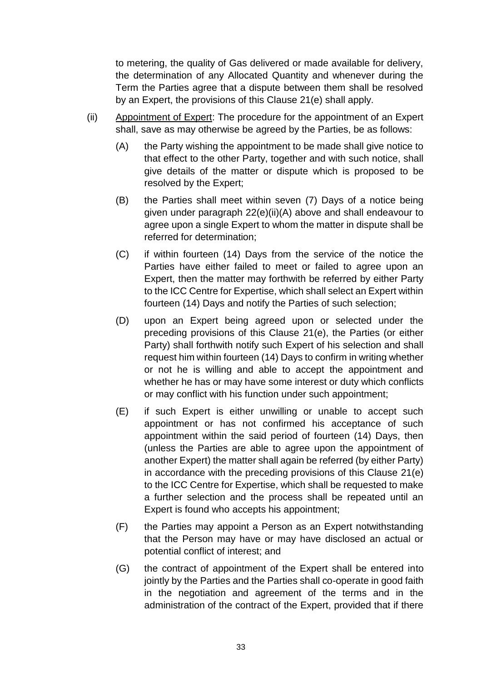to metering, the quality of Gas delivered or made available for delivery, the determination of any Allocated Quantity and whenever during the Term the Parties agree that a dispute between them shall be resolved by an Expert, the provisions of this Clause 21(e) shall apply.

- (ii) Appointment of Expert: The procedure for the appointment of an Expert shall, save as may otherwise be agreed by the Parties, be as follows:
	- (A) the Party wishing the appointment to be made shall give notice to that effect to the other Party, together and with such notice, shall give details of the matter or dispute which is proposed to be resolved by the Expert;
	- (B) the Parties shall meet within seven (7) Days of a notice being given under paragraph 22(e)(ii)(A) above and shall endeavour to agree upon a single Expert to whom the matter in dispute shall be referred for determination;
	- (C) if within fourteen (14) Days from the service of the notice the Parties have either failed to meet or failed to agree upon an Expert, then the matter may forthwith be referred by either Party to the ICC Centre for Expertise, which shall select an Expert within fourteen (14) Days and notify the Parties of such selection;
	- (D) upon an Expert being agreed upon or selected under the preceding provisions of this Clause 21(e), the Parties (or either Party) shall forthwith notify such Expert of his selection and shall request him within fourteen (14) Days to confirm in writing whether or not he is willing and able to accept the appointment and whether he has or may have some interest or duty which conflicts or may conflict with his function under such appointment;
	- (E) if such Expert is either unwilling or unable to accept such appointment or has not confirmed his acceptance of such appointment within the said period of fourteen (14) Days, then (unless the Parties are able to agree upon the appointment of another Expert) the matter shall again be referred (by either Party) in accordance with the preceding provisions of this Clause 21(e) to the ICC Centre for Expertise, which shall be requested to make a further selection and the process shall be repeated until an Expert is found who accepts his appointment;
	- (F) the Parties may appoint a Person as an Expert notwithstanding that the Person may have or may have disclosed an actual or potential conflict of interest; and
	- (G) the contract of appointment of the Expert shall be entered into jointly by the Parties and the Parties shall co-operate in good faith in the negotiation and agreement of the terms and in the administration of the contract of the Expert, provided that if there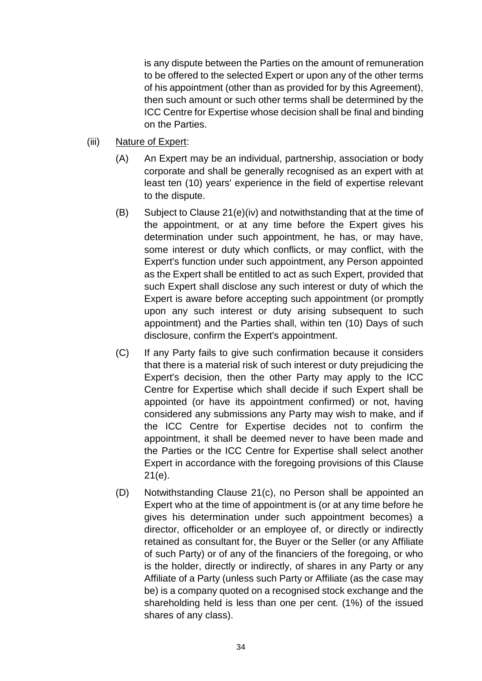is any dispute between the Parties on the amount of remuneration to be offered to the selected Expert or upon any of the other terms of his appointment (other than as provided for by this Agreement), then such amount or such other terms shall be determined by the ICC Centre for Expertise whose decision shall be final and binding on the Parties.

- (iii) Nature of Expert:
	- (A) An Expert may be an individual, partnership, association or body corporate and shall be generally recognised as an expert with at least ten (10) years' experience in the field of expertise relevant to the dispute.
	- (B) Subject to Clause 21(e)(iv) and notwithstanding that at the time of the appointment, or at any time before the Expert gives his determination under such appointment, he has, or may have, some interest or duty which conflicts, or may conflict, with the Expert's function under such appointment, any Person appointed as the Expert shall be entitled to act as such Expert, provided that such Expert shall disclose any such interest or duty of which the Expert is aware before accepting such appointment (or promptly upon any such interest or duty arising subsequent to such appointment) and the Parties shall, within ten (10) Days of such disclosure, confirm the Expert's appointment.
	- (C) If any Party fails to give such confirmation because it considers that there is a material risk of such interest or duty prejudicing the Expert's decision, then the other Party may apply to the ICC Centre for Expertise which shall decide if such Expert shall be appointed (or have its appointment confirmed) or not, having considered any submissions any Party may wish to make, and if the ICC Centre for Expertise decides not to confirm the appointment, it shall be deemed never to have been made and the Parties or the ICC Centre for Expertise shall select another Expert in accordance with the foregoing provisions of this Clause 21(e).
	- (D) Notwithstanding Clause 21(c), no Person shall be appointed an Expert who at the time of appointment is (or at any time before he gives his determination under such appointment becomes) a director, officeholder or an employee of, or directly or indirectly retained as consultant for, the Buyer or the Seller (or any Affiliate of such Party) or of any of the financiers of the foregoing, or who is the holder, directly or indirectly, of shares in any Party or any Affiliate of a Party (unless such Party or Affiliate (as the case may be) is a company quoted on a recognised stock exchange and the shareholding held is less than one per cent. (1%) of the issued shares of any class).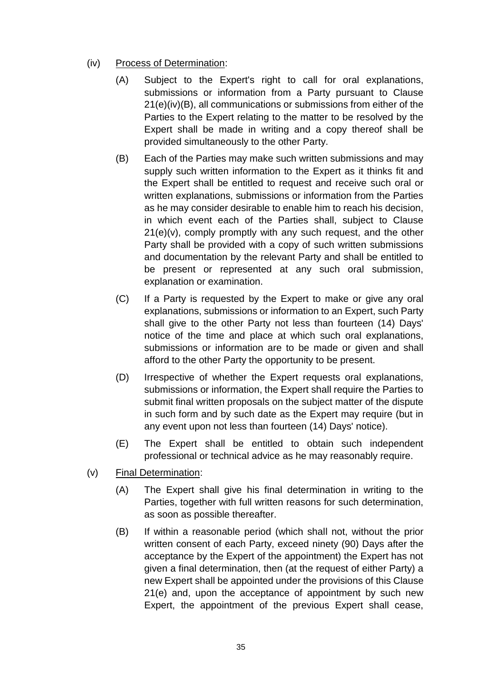- (iv) Process of Determination:
	- (A) Subject to the Expert's right to call for oral explanations, submissions or information from a Party pursuant to Clause 21(e)(iv)(B), all communications or submissions from either of the Parties to the Expert relating to the matter to be resolved by the Expert shall be made in writing and a copy thereof shall be provided simultaneously to the other Party.
	- (B) Each of the Parties may make such written submissions and may supply such written information to the Expert as it thinks fit and the Expert shall be entitled to request and receive such oral or written explanations, submissions or information from the Parties as he may consider desirable to enable him to reach his decision, in which event each of the Parties shall, subject to Clause 21(e)(v), comply promptly with any such request, and the other Party shall be provided with a copy of such written submissions and documentation by the relevant Party and shall be entitled to be present or represented at any such oral submission, explanation or examination.
	- (C) If a Party is requested by the Expert to make or give any oral explanations, submissions or information to an Expert, such Party shall give to the other Party not less than fourteen (14) Days' notice of the time and place at which such oral explanations, submissions or information are to be made or given and shall afford to the other Party the opportunity to be present.
	- (D) Irrespective of whether the Expert requests oral explanations, submissions or information, the Expert shall require the Parties to submit final written proposals on the subject matter of the dispute in such form and by such date as the Expert may require (but in any event upon not less than fourteen (14) Days' notice).
	- (E) The Expert shall be entitled to obtain such independent professional or technical advice as he may reasonably require.
- (v) Final Determination:
	- (A) The Expert shall give his final determination in writing to the Parties, together with full written reasons for such determination, as soon as possible thereafter.
	- (B) If within a reasonable period (which shall not, without the prior written consent of each Party, exceed ninety (90) Days after the acceptance by the Expert of the appointment) the Expert has not given a final determination, then (at the request of either Party) a new Expert shall be appointed under the provisions of this Clause 21(e) and, upon the acceptance of appointment by such new Expert, the appointment of the previous Expert shall cease,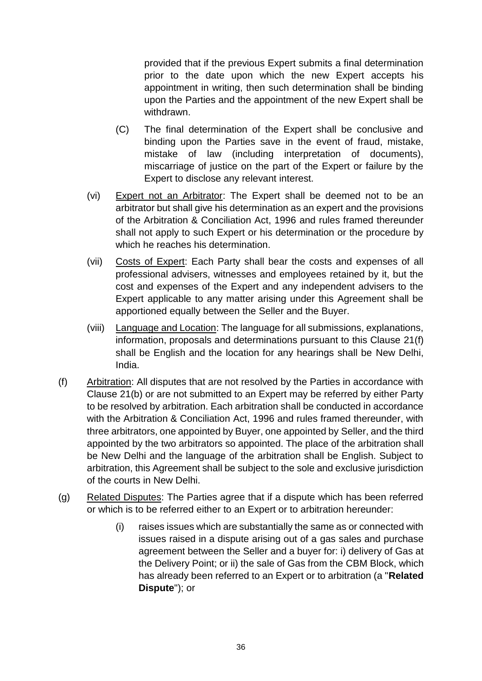provided that if the previous Expert submits a final determination prior to the date upon which the new Expert accepts his appointment in writing, then such determination shall be binding upon the Parties and the appointment of the new Expert shall be withdrawn.

- (C) The final determination of the Expert shall be conclusive and binding upon the Parties save in the event of fraud, mistake, mistake of law (including interpretation of documents), miscarriage of justice on the part of the Expert or failure by the Expert to disclose any relevant interest.
- (vi) Expert not an Arbitrator: The Expert shall be deemed not to be an arbitrator but shall give his determination as an expert and the provisions of the Arbitration & Conciliation Act, 1996 and rules framed thereunder shall not apply to such Expert or his determination or the procedure by which he reaches his determination.
- (vii) Costs of Expert: Each Party shall bear the costs and expenses of all professional advisers, witnesses and employees retained by it, but the cost and expenses of the Expert and any independent advisers to the Expert applicable to any matter arising under this Agreement shall be apportioned equally between the Seller and the Buyer.
- (viii) Language and Location: The language for all submissions, explanations, information, proposals and determinations pursuant to this Clause 21(f) shall be English and the location for any hearings shall be New Delhi, India.
- (f) Arbitration: All disputes that are not resolved by the Parties in accordance with Clause 21(b) or are not submitted to an Expert may be referred by either Party to be resolved by arbitration. Each arbitration shall be conducted in accordance with the Arbitration & Conciliation Act, 1996 and rules framed thereunder, with three arbitrators, one appointed by Buyer, one appointed by Seller, and the third appointed by the two arbitrators so appointed. The place of the arbitration shall be New Delhi and the language of the arbitration shall be English. Subject to arbitration, this Agreement shall be subject to the sole and exclusive jurisdiction of the courts in New Delhi.
- (g) Related Disputes: The Parties agree that if a dispute which has been referred or which is to be referred either to an Expert or to arbitration hereunder:
	- (i) raises issues which are substantially the same as or connected with issues raised in a dispute arising out of a gas sales and purchase agreement between the Seller and a buyer for: i) delivery of Gas at the Delivery Point; or ii) the sale of Gas from the CBM Block, which has already been referred to an Expert or to arbitration (a "**Related Dispute**"); or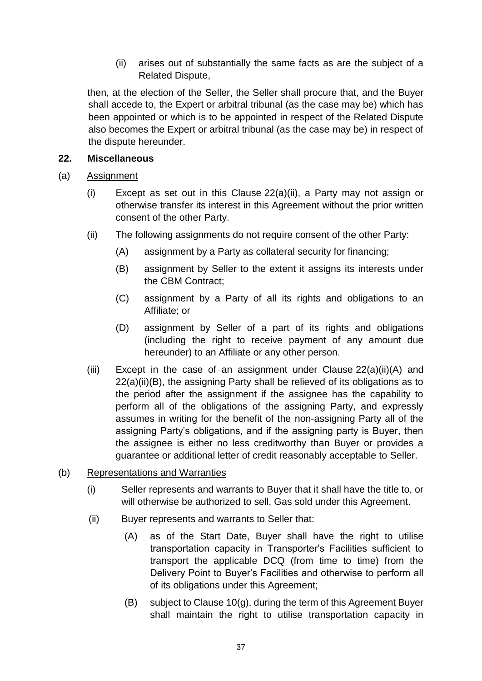(ii) arises out of substantially the same facts as are the subject of a Related Dispute,

then, at the election of the Seller, the Seller shall procure that, and the Buyer shall accede to, the Expert or arbitral tribunal (as the case may be) which has been appointed or which is to be appointed in respect of the Related Dispute also becomes the Expert or arbitral tribunal (as the case may be) in respect of the dispute hereunder.

#### <span id="page-38-0"></span>**22. Miscellaneous**

- (a) Assignment
	- (i) Except as set out in this Clause 22(a)(ii), a Party may not assign or otherwise transfer its interest in this Agreement without the prior written consent of the other Party.
	- (ii) The following assignments do not require consent of the other Party:
		- (A) assignment by a Party as collateral security for financing;
		- (B) assignment by Seller to the extent it assigns its interests under the CBM Contract;
		- (C) assignment by a Party of all its rights and obligations to an Affiliate; or
		- (D) assignment by Seller of a part of its rights and obligations (including the right to receive payment of any amount due hereunder) to an Affiliate or any other person.
	- (iii) Except in the case of an assignment under Clause 22(a)(ii)(A) and 22(a)(ii)(B), the assigning Party shall be relieved of its obligations as to the period after the assignment if the assignee has the capability to perform all of the obligations of the assigning Party, and expressly assumes in writing for the benefit of the non-assigning Party all of the assigning Party's obligations, and if the assigning party is Buyer, then the assignee is either no less creditworthy than Buyer or provides a guarantee or additional letter of credit reasonably acceptable to Seller.
- (b) Representations and Warranties
	- (i) Seller represents and warrants to Buyer that it shall have the title to, or will otherwise be authorized to sell, Gas sold under this Agreement.
	- (ii) Buyer represents and warrants to Seller that:
		- (A) as of the Start Date, Buyer shall have the right to utilise transportation capacity in Transporter's Facilities sufficient to transport the applicable DCQ (from time to time) from the Delivery Point to Buyer's Facilities and otherwise to perform all of its obligations under this Agreement;
		- (B) subject to Clause 10(g), during the term of this Agreement Buyer shall maintain the right to utilise transportation capacity in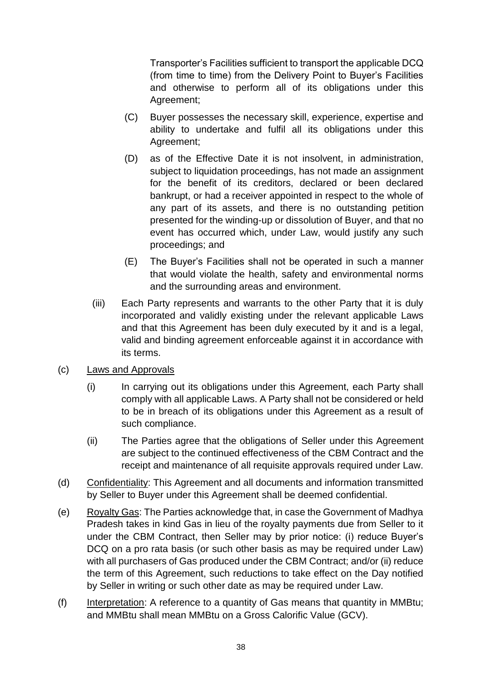Transporter's Facilities sufficient to transport the applicable DCQ (from time to time) from the Delivery Point to Buyer's Facilities and otherwise to perform all of its obligations under this Agreement;

- (C) Buyer possesses the necessary skill, experience, expertise and ability to undertake and fulfil all its obligations under this Agreement;
- (D) as of the Effective Date it is not insolvent, in administration, subject to liquidation proceedings, has not made an assignment for the benefit of its creditors, declared or been declared bankrupt, or had a receiver appointed in respect to the whole of any part of its assets, and there is no outstanding petition presented for the winding-up or dissolution of Buyer, and that no event has occurred which, under Law, would justify any such proceedings; and
- (E) The Buyer's Facilities shall not be operated in such a manner that would violate the health, safety and environmental norms and the surrounding areas and environment.
- (iii) Each Party represents and warrants to the other Party that it is duly incorporated and validly existing under the relevant applicable Laws and that this Agreement has been duly executed by it and is a legal, valid and binding agreement enforceable against it in accordance with its terms.
- (c) Laws and Approvals
	- (i) In carrying out its obligations under this Agreement, each Party shall comply with all applicable Laws. A Party shall not be considered or held to be in breach of its obligations under this Agreement as a result of such compliance.
	- (ii) The Parties agree that the obligations of Seller under this Agreement are subject to the continued effectiveness of the CBM Contract and the receipt and maintenance of all requisite approvals required under Law.
- (d) Confidentiality: This Agreement and all documents and information transmitted by Seller to Buyer under this Agreement shall be deemed confidential.
- (e) Royalty Gas: The Parties acknowledge that, in case the Government of Madhya Pradesh takes in kind Gas in lieu of the royalty payments due from Seller to it under the CBM Contract, then Seller may by prior notice: (i) reduce Buyer's DCQ on a pro rata basis (or such other basis as may be required under Law) with all purchasers of Gas produced under the CBM Contract; and/or (ii) reduce the term of this Agreement, such reductions to take effect on the Day notified by Seller in writing or such other date as may be required under Law.
- (f) Interpretation: A reference to a quantity of Gas means that quantity in MMBtu; and MMBtu shall mean MMBtu on a Gross Calorific Value (GCV).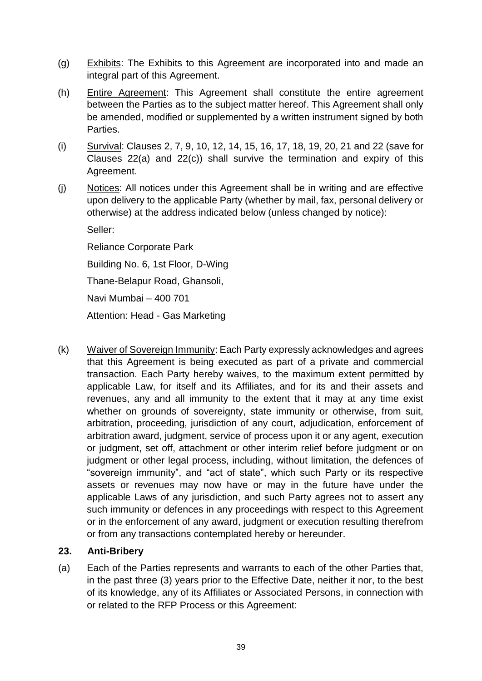- (g) Exhibits: The Exhibits to this Agreement are incorporated into and made an integral part of this Agreement.
- (h) Entire Agreement: This Agreement shall constitute the entire agreement between the Parties as to the subject matter hereof. This Agreement shall only be amended, modified or supplemented by a written instrument signed by both Parties.
- (i) Survival: Clauses 2, 7, 9, 10, 12, 14, 15, 16, 17, 18, 19, 20, 21 and 22 (save for Clauses 22(a) and 22(c)) shall survive the termination and expiry of this Agreement.
- (j) Notices: All notices under this Agreement shall be in writing and are effective upon delivery to the applicable Party (whether by mail, fax, personal delivery or otherwise) at the address indicated below (unless changed by notice):

Seller:

Reliance Corporate Park

Building No. 6, 1st Floor, D-Wing

Thane-Belapur Road, Ghansoli,

Navi Mumbai – 400 701

Attention: Head - Gas Marketing

(k) Waiver of Sovereign Immunity: Each Party expressly acknowledges and agrees that this Agreement is being executed as part of a private and commercial transaction. Each Party hereby waives, to the maximum extent permitted by applicable Law, for itself and its Affiliates, and for its and their assets and revenues, any and all immunity to the extent that it may at any time exist whether on grounds of sovereignty, state immunity or otherwise, from suit, arbitration, proceeding, jurisdiction of any court, adjudication, enforcement of arbitration award, judgment, service of process upon it or any agent, execution or judgment, set off, attachment or other interim relief before judgment or on judgment or other legal process, including, without limitation, the defences of "sovereign immunity", and "act of state", which such Party or its respective assets or revenues may now have or may in the future have under the applicable Laws of any jurisdiction, and such Party agrees not to assert any such immunity or defences in any proceedings with respect to this Agreement or in the enforcement of any award, judgment or execution resulting therefrom or from any transactions contemplated hereby or hereunder.

#### <span id="page-40-0"></span>**23. Anti-Bribery**

(a) Each of the Parties represents and warrants to each of the other Parties that, in the past three (3) years prior to the Effective Date, neither it nor, to the best of its knowledge, any of its Affiliates or Associated Persons, in connection with or related to the RFP Process or this Agreement: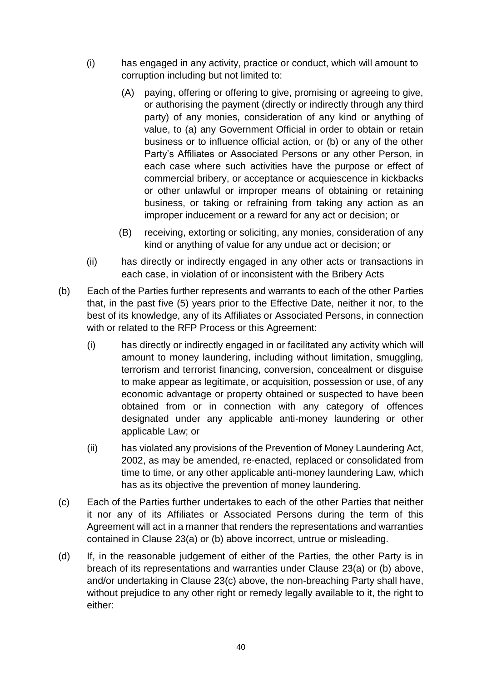- (i) has engaged in any activity, practice or conduct, which will amount to corruption including but not limited to:
	- (A) paying, offering or offering to give, promising or agreeing to give, or authorising the payment (directly or indirectly through any third party) of any monies, consideration of any kind or anything of value, to (a) any Government Official in order to obtain or retain business or to influence official action, or (b) or any of the other Party's Affiliates or Associated Persons or any other Person, in each case where such activities have the purpose or effect of commercial bribery, or acceptance or acquiescence in kickbacks or other unlawful or improper means of obtaining or retaining business, or taking or refraining from taking any action as an improper inducement or a reward for any act or decision; or
	- (B) receiving, extorting or soliciting, any monies, consideration of any kind or anything of value for any undue act or decision; or
- (ii) has directly or indirectly engaged in any other acts or transactions in each case, in violation of or inconsistent with the Bribery Acts
- (b) Each of the Parties further represents and warrants to each of the other Parties that, in the past five (5) years prior to the Effective Date, neither it nor, to the best of its knowledge, any of its Affiliates or Associated Persons, in connection with or related to the RFP Process or this Agreement:
	- (i) has directly or indirectly engaged in or facilitated any activity which will amount to money laundering, including without limitation, smuggling, terrorism and terrorist financing, conversion, concealment or disguise to make appear as legitimate, or acquisition, possession or use, of any economic advantage or property obtained or suspected to have been obtained from or in connection with any category of offences designated under any applicable anti-money laundering or other applicable Law; or
	- (ii) has violated any provisions of the Prevention of Money Laundering Act, 2002, as may be amended, re-enacted, replaced or consolidated from time to time, or any other applicable anti-money laundering Law, which has as its objective the prevention of money laundering.
- (c) Each of the Parties further undertakes to each of the other Parties that neither it nor any of its Affiliates or Associated Persons during the term of this Agreement will act in a manner that renders the representations and warranties contained in Clause 23(a) or (b) above incorrect, untrue or misleading.
- (d) If, in the reasonable judgement of either of the Parties, the other Party is in breach of its representations and warranties under Clause 23(a) or (b) above, and/or undertaking in Clause 23(c) above, the non-breaching Party shall have, without prejudice to any other right or remedy legally available to it, the right to either: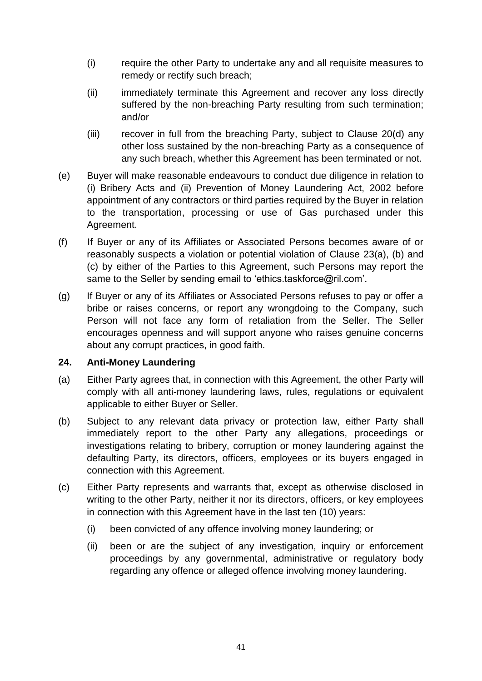- (i) require the other Party to undertake any and all requisite measures to remedy or rectify such breach;
- (ii) immediately terminate this Agreement and recover any loss directly suffered by the non-breaching Party resulting from such termination; and/or
- (iii) recover in full from the breaching Party, subject to Clause 20(d) any other loss sustained by the non-breaching Party as a consequence of any such breach, whether this Agreement has been terminated or not.
- (e) Buyer will make reasonable endeavours to conduct due diligence in relation to (i) Bribery Acts and (ii) Prevention of Money Laundering Act, 2002 before appointment of any contractors or third parties required by the Buyer in relation to the transportation, processing or use of Gas purchased under this Agreement.
- (f) If Buyer or any of its Affiliates or Associated Persons becomes aware of or reasonably suspects a violation or potential violation of Clause 23(a), (b) and (c) by either of the Parties to this Agreement, such Persons may report the same to the Seller by sending email to 'ethics.taskforce@ril.com'.
- (g) If Buyer or any of its Affiliates or Associated Persons refuses to pay or offer a bribe or raises concerns, or report any wrongdoing to the Company, such Person will not face any form of retaliation from the Seller. The Seller encourages openness and will support anyone who raises genuine concerns about any corrupt practices, in good faith.

#### <span id="page-42-0"></span>**24. Anti-Money Laundering**

- (a) Either Party agrees that, in connection with this Agreement, the other Party will comply with all anti-money laundering laws, rules, regulations or equivalent applicable to either Buyer or Seller.
- (b) Subject to any relevant data privacy or protection law, either Party shall immediately report to the other Party any allegations, proceedings or investigations relating to bribery, corruption or money laundering against the defaulting Party, its directors, officers, employees or its buyers engaged in connection with this Agreement.
- (c) Either Party represents and warrants that, except as otherwise disclosed in writing to the other Party, neither it nor its directors, officers, or key employees in connection with this Agreement have in the last ten (10) years:
	- (i) been convicted of any offence involving money laundering; or
	- (ii) been or are the subject of any investigation, inquiry or enforcement proceedings by any governmental, administrative or regulatory body regarding any offence or alleged offence involving money laundering.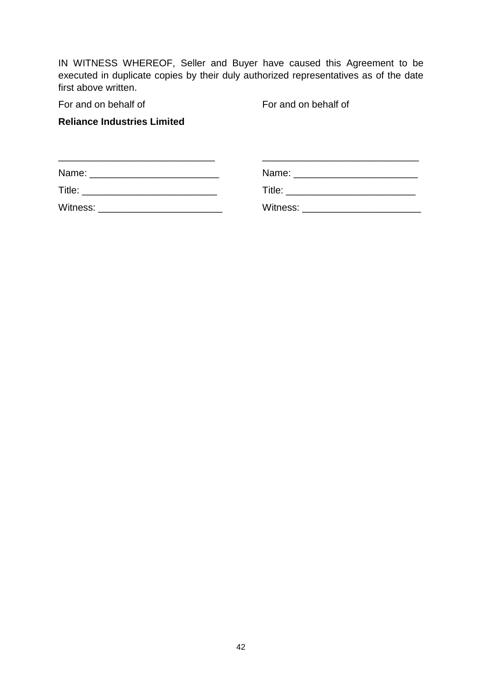IN WITNESS WHEREOF, Seller and Buyer have caused this Agreement to be executed in duplicate copies by their duly authorized representatives as of the date first above written.

For and on behalf of For and on behalf of

#### **Reliance Industries Limited**

| Name:<br><u> 2000 - 2000 - 2000 - 2000 - 2000 - 2000 - 2000 - 2000 - 2000 - 2000 - 2000 - 2000 - 2000 - 2000 - 2000 - 200</u> |                                  |
|-------------------------------------------------------------------------------------------------------------------------------|----------------------------------|
| Title:                                                                                                                        | Title: _________________________ |
| Witness:                                                                                                                      | Witness: <u>_______________</u>  |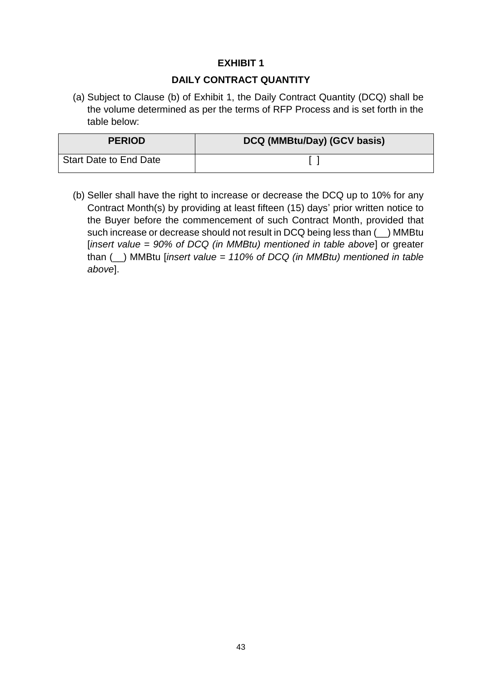#### **DAILY CONTRACT QUANTITY**

(a) Subject to Clause (b) of Exhibit 1, the Daily Contract Quantity (DCQ) shall be the volume determined as per the terms of RFP Process and is set forth in the table below:

| <b>PERIOD</b>          | DCQ (MMBtu/Day) (GCV basis) |
|------------------------|-----------------------------|
| Start Date to End Date |                             |

(b) Seller shall have the right to increase or decrease the DCQ up to 10% for any Contract Month(s) by providing at least fifteen (15) days' prior written notice to the Buyer before the commencement of such Contract Month, provided that such increase or decrease should not result in DCQ being less than (\_\_) MMBtu [*insert value = 90% of DCQ (in MMBtu) mentioned in table above*] or greater than (\_\_) MMBtu [*insert value = 110% of DCQ (in MMBtu) mentioned in table above*].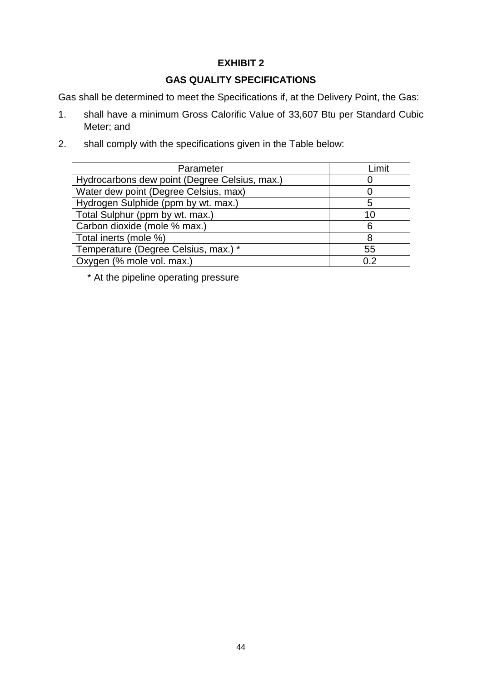## **GAS QUALITY SPECIFICATIONS**

Gas shall be determined to meet the Specifications if, at the Delivery Point, the Gas:

- 1. shall have a minimum Gross Calorific Value of 33,607 Btu per Standard Cubic Meter; and
- 2. shall comply with the specifications given in the Table below:

| Parameter                                     | I imit |
|-----------------------------------------------|--------|
| Hydrocarbons dew point (Degree Celsius, max.) |        |
| Water dew point (Degree Celsius, max)         |        |
| Hydrogen Sulphide (ppm by wt. max.)           | 5      |
| Total Sulphur (ppm by wt. max.)               | 10     |
| Carbon dioxide (mole % max.)                  | 6      |
| Total inerts (mole %)                         | 8      |
| Temperature (Degree Celsius, max.) *          | 55     |
| Oxygen (% mole vol. max.)                     | 0.2    |

\* At the pipeline operating pressure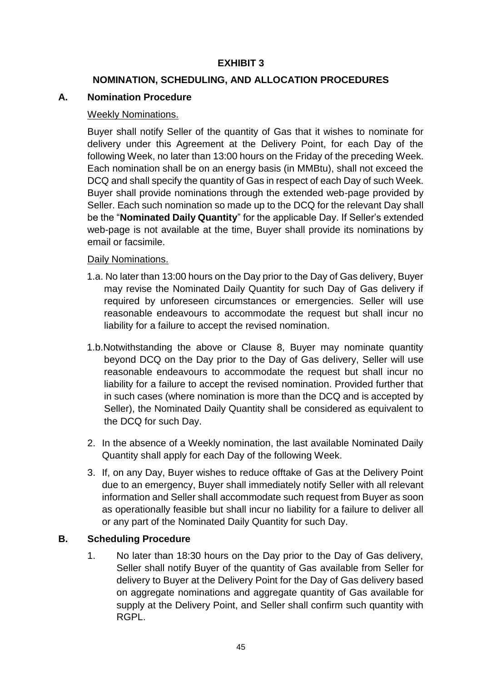#### **NOMINATION, SCHEDULING, AND ALLOCATION PROCEDURES**

#### **A. Nomination Procedure**

#### Weekly Nominations.

Buyer shall notify Seller of the quantity of Gas that it wishes to nominate for delivery under this Agreement at the Delivery Point, for each Day of the following Week, no later than 13:00 hours on the Friday of the preceding Week. Each nomination shall be on an energy basis (in MMBtu), shall not exceed the DCQ and shall specify the quantity of Gas in respect of each Day of such Week. Buyer shall provide nominations through the extended web-page provided by Seller. Each such nomination so made up to the DCQ for the relevant Day shall be the "**Nominated Daily Quantity**" for the applicable Day. If Seller's extended web-page is not available at the time, Buyer shall provide its nominations by email or facsimile.

#### Daily Nominations.

- 1.a. No later than 13:00 hours on the Day prior to the Day of Gas delivery, Buyer may revise the Nominated Daily Quantity for such Day of Gas delivery if required by unforeseen circumstances or emergencies. Seller will use reasonable endeavours to accommodate the request but shall incur no liability for a failure to accept the revised nomination.
- 1.b.Notwithstanding the above or Clause 8, Buyer may nominate quantity beyond DCQ on the Day prior to the Day of Gas delivery, Seller will use reasonable endeavours to accommodate the request but shall incur no liability for a failure to accept the revised nomination. Provided further that in such cases (where nomination is more than the DCQ and is accepted by Seller), the Nominated Daily Quantity shall be considered as equivalent to the DCQ for such Day.
- 2. In the absence of a Weekly nomination, the last available Nominated Daily Quantity shall apply for each Day of the following Week.
- 3. If, on any Day, Buyer wishes to reduce offtake of Gas at the Delivery Point due to an emergency, Buyer shall immediately notify Seller with all relevant information and Seller shall accommodate such request from Buyer as soon as operationally feasible but shall incur no liability for a failure to deliver all or any part of the Nominated Daily Quantity for such Day.

#### **B. Scheduling Procedure**

1. No later than 18:30 hours on the Day prior to the Day of Gas delivery, Seller shall notify Buyer of the quantity of Gas available from Seller for delivery to Buyer at the Delivery Point for the Day of Gas delivery based on aggregate nominations and aggregate quantity of Gas available for supply at the Delivery Point, and Seller shall confirm such quantity with RGPL.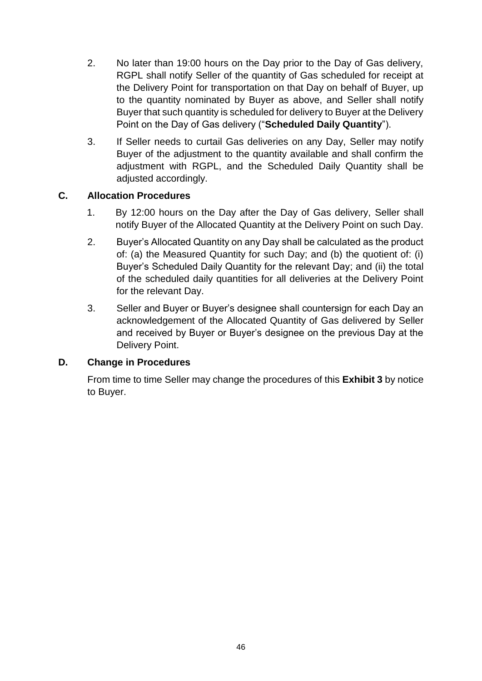- 2. No later than 19:00 hours on the Day prior to the Day of Gas delivery, RGPL shall notify Seller of the quantity of Gas scheduled for receipt at the Delivery Point for transportation on that Day on behalf of Buyer, up to the quantity nominated by Buyer as above, and Seller shall notify Buyer that such quantity is scheduled for delivery to Buyer at the Delivery Point on the Day of Gas delivery ("**Scheduled Daily Quantity**").
- 3. If Seller needs to curtail Gas deliveries on any Day, Seller may notify Buyer of the adjustment to the quantity available and shall confirm the adjustment with RGPL, and the Scheduled Daily Quantity shall be adjusted accordingly.

#### **C. Allocation Procedures**

- 1. By 12:00 hours on the Day after the Day of Gas delivery, Seller shall notify Buyer of the Allocated Quantity at the Delivery Point on such Day.
- 2. Buyer's Allocated Quantity on any Day shall be calculated as the product of: (a) the Measured Quantity for such Day; and (b) the quotient of: (i) Buyer's Scheduled Daily Quantity for the relevant Day; and (ii) the total of the scheduled daily quantities for all deliveries at the Delivery Point for the relevant Day.
- 3. Seller and Buyer or Buyer's designee shall countersign for each Day an acknowledgement of the Allocated Quantity of Gas delivered by Seller and received by Buyer or Buyer's designee on the previous Day at the Delivery Point.

#### **D. Change in Procedures**

From time to time Seller may change the procedures of this **Exhibit 3** by notice to Buyer.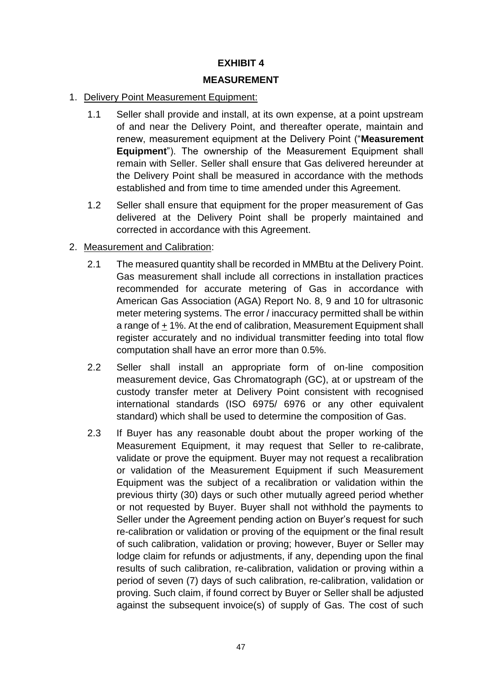#### **MEASUREMENT**

#### 1. Delivery Point Measurement Equipment:

- 1.1 Seller shall provide and install, at its own expense, at a point upstream of and near the Delivery Point, and thereafter operate, maintain and renew, measurement equipment at the Delivery Point ("**Measurement Equipment**"). The ownership of the Measurement Equipment shall remain with Seller. Seller shall ensure that Gas delivered hereunder at the Delivery Point shall be measured in accordance with the methods established and from time to time amended under this Agreement.
- 1.2 Seller shall ensure that equipment for the proper measurement of Gas delivered at the Delivery Point shall be properly maintained and corrected in accordance with this Agreement.

#### 2. Measurement and Calibration:

- 2.1 The measured quantity shall be recorded in MMBtu at the Delivery Point. Gas measurement shall include all corrections in installation practices recommended for accurate metering of Gas in accordance with American Gas Association (AGA) Report No. 8, 9 and 10 for ultrasonic meter metering systems. The error / inaccuracy permitted shall be within a range of + 1%. At the end of calibration, Measurement Equipment shall register accurately and no individual transmitter feeding into total flow computation shall have an error more than 0.5%.
- 2.2 Seller shall install an appropriate form of on-line composition measurement device, Gas Chromatograph (GC), at or upstream of the custody transfer meter at Delivery Point consistent with recognised international standards (ISO 6975/ 6976 or any other equivalent standard) which shall be used to determine the composition of Gas.
- 2.3 If Buyer has any reasonable doubt about the proper working of the Measurement Equipment, it may request that Seller to re-calibrate, validate or prove the equipment. Buyer may not request a recalibration or validation of the Measurement Equipment if such Measurement Equipment was the subject of a recalibration or validation within the previous thirty (30) days or such other mutually agreed period whether or not requested by Buyer. Buyer shall not withhold the payments to Seller under the Agreement pending action on Buyer's request for such re-calibration or validation or proving of the equipment or the final result of such calibration, validation or proving; however, Buyer or Seller may lodge claim for refunds or adjustments, if any, depending upon the final results of such calibration, re-calibration, validation or proving within a period of seven (7) days of such calibration, re-calibration, validation or proving. Such claim, if found correct by Buyer or Seller shall be adjusted against the subsequent invoice(s) of supply of Gas. The cost of such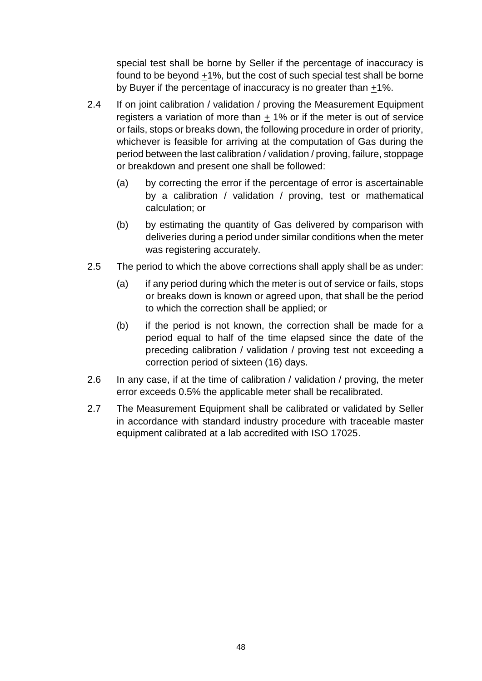special test shall be borne by Seller if the percentage of inaccuracy is found to be beyond +1%, but the cost of such special test shall be borne by Buyer if the percentage of inaccuracy is no greater than +1%.

- 2.4 If on joint calibration / validation / proving the Measurement Equipment registers a variation of more than  $\pm$  1% or if the meter is out of service or fails, stops or breaks down, the following procedure in order of priority, whichever is feasible for arriving at the computation of Gas during the period between the last calibration / validation / proving, failure, stoppage or breakdown and present one shall be followed:
	- (a) by correcting the error if the percentage of error is ascertainable by a calibration / validation / proving, test or mathematical calculation; or
	- (b) by estimating the quantity of Gas delivered by comparison with deliveries during a period under similar conditions when the meter was registering accurately.
- 2.5 The period to which the above corrections shall apply shall be as under:
	- (a) if any period during which the meter is out of service or fails, stops or breaks down is known or agreed upon, that shall be the period to which the correction shall be applied; or
	- (b) if the period is not known, the correction shall be made for a period equal to half of the time elapsed since the date of the preceding calibration / validation / proving test not exceeding a correction period of sixteen (16) days.
- 2.6 In any case, if at the time of calibration / validation / proving, the meter error exceeds 0.5% the applicable meter shall be recalibrated.
- 2.7 The Measurement Equipment shall be calibrated or validated by Seller in accordance with standard industry procedure with traceable master equipment calibrated at a lab accredited with ISO 17025.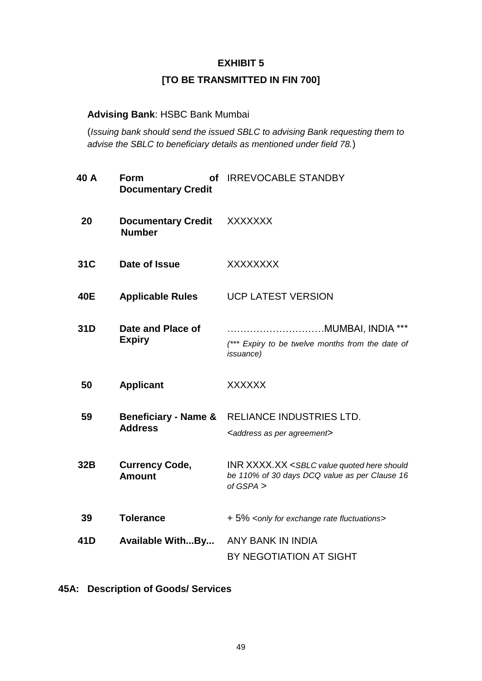## **[TO BE TRANSMITTED IN FIN 700]**

#### **Advising Bank**: HSBC Bank Mumbai

(*Issuing bank should send the issued SBLC to advising Bank requesting them to advise the SBLC to beneficiary details as mentioned under field 78.*)

| 40 A | Form<br>οf<br><b>Documentary Credit</b>           | <b>IRREVOCABLE STANDBY</b>                                                                                                                     |
|------|---------------------------------------------------|------------------------------------------------------------------------------------------------------------------------------------------------|
| 20   | <b>Documentary Credit</b><br><b>Number</b>        | <b>XXXXXXX</b>                                                                                                                                 |
| 31C  | Date of Issue                                     | <b>XXXXXXXX</b>                                                                                                                                |
| 40E  | <b>Applicable Rules</b>                           | <b>UCP LATEST VERSION</b>                                                                                                                      |
| 31D  | Date and Place of<br><b>Expiry</b>                | (*** Expiry to be twelve months from the date of<br><i>issuance</i> )                                                                          |
| 50   | <b>Applicant</b>                                  | <b>XXXXXX</b>                                                                                                                                  |
| 59   | <b>Beneficiary - Name &amp;</b><br><b>Address</b> | RELIANCE INDUSTRIES LTD.<br><address agreement="" as="" per=""></address>                                                                      |
| 32B  | <b>Currency Code,</b><br><b>Amount</b>            | <b>INR XXXX.XX <sblc b="" here="" quoted="" should<="" value=""><br/>be 110% of 30 days DCQ value as per Clause 16<br/>of GSPA &gt;</sblc></b> |
| 39   | <b>Tolerance</b>                                  | + 5% <only exchange="" fluctuations="" for="" rate=""></only>                                                                                  |
| 41D  | <b>Available WithBy</b>                           | ANY BANK IN INDIA<br>BY NEGOTIATION AT SIGHT                                                                                                   |

**45A: Description of Goods/ Services**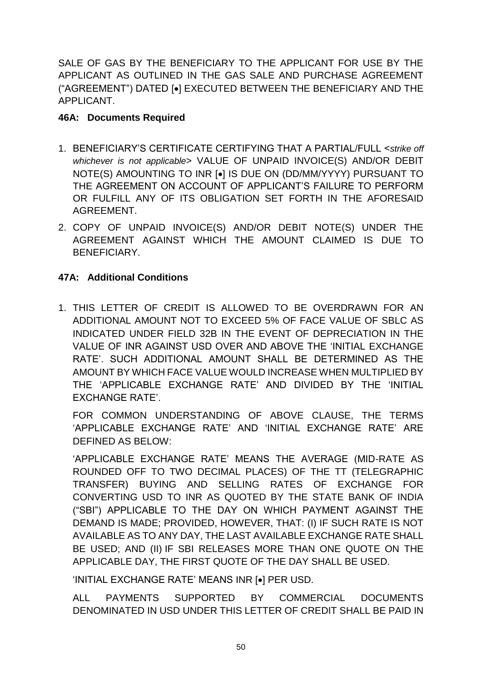SALE OF GAS BY THE BENEFICIARY TO THE APPLICANT FOR USE BY THE APPLICANT AS OUTLINED IN THE GAS SALE AND PURCHASE AGREEMENT ("AGREEMENT") DATED [ $\bullet$ ] EXECUTED BETWEEN THE BENEFICIARY AND THE APPLICANT.

#### **46A: Documents Required**

- 1. BENEFICIARY'S CERTIFICATE CERTIFYING THAT A PARTIAL/FULL <*strike off whichever is not applicable*> VALUE OF UNPAID INVOICE(S) AND/OR DEBIT NOTE(S) AMOUNTING TO INR [•] IS DUE ON (DD/MM/YYYY) PURSUANT TO THE AGREEMENT ON ACCOUNT OF APPLICANT'S FAILURE TO PERFORM OR FULFILL ANY OF ITS OBLIGATION SET FORTH IN THE AFORESAID AGREEMENT.
- 2. COPY OF UNPAID INVOICE(S) AND/OR DEBIT NOTE(S) UNDER THE AGREEMENT AGAINST WHICH THE AMOUNT CLAIMED IS DUE TO BENEFICIARY.

## **47A: Additional Conditions**

1. THIS LETTER OF CREDIT IS ALLOWED TO BE OVERDRAWN FOR AN ADDITIONAL AMOUNT NOT TO EXCEED 5% OF FACE VALUE OF SBLC AS INDICATED UNDER FIELD 32B IN THE EVENT OF DEPRECIATION IN THE VALUE OF INR AGAINST USD OVER AND ABOVE THE 'INITIAL EXCHANGE RATE'. SUCH ADDITIONAL AMOUNT SHALL BE DETERMINED AS THE AMOUNT BY WHICH FACE VALUE WOULD INCREASE WHEN MULTIPLIED BY THE 'APPLICABLE EXCHANGE RATE' AND DIVIDED BY THE 'INITIAL EXCHANGE RATE'.

FOR COMMON UNDERSTANDING OF ABOVE CLAUSE, THE TERMS 'APPLICABLE EXCHANGE RATE' AND 'INITIAL EXCHANGE RATE' ARE DEFINED AS BELOW:

'APPLICABLE EXCHANGE RATE' MEANS THE AVERAGE (MID-RATE AS ROUNDED OFF TO TWO DECIMAL PLACES) OF THE TT (TELEGRAPHIC TRANSFER) BUYING AND SELLING RATES OF EXCHANGE FOR CONVERTING USD TO INR AS QUOTED BY THE STATE BANK OF INDIA ("SBI") APPLICABLE TO THE DAY ON WHICH PAYMENT AGAINST THE DEMAND IS MADE; PROVIDED, HOWEVER, THAT: (I) IF SUCH RATE IS NOT AVAILABLE AS TO ANY DAY, THE LAST AVAILABLE EXCHANGE RATE SHALL BE USED; AND (II) IF SBI RELEASES MORE THAN ONE QUOTE ON THE APPLICABLE DAY, THE FIRST QUOTE OF THE DAY SHALL BE USED.

'INITIAL EXCHANGE RATE' MEANS INR [.] PER USD.

ALL PAYMENTS SUPPORTED BY COMMERCIAL DOCUMENTS DENOMINATED IN USD UNDER THIS LETTER OF CREDIT SHALL BE PAID IN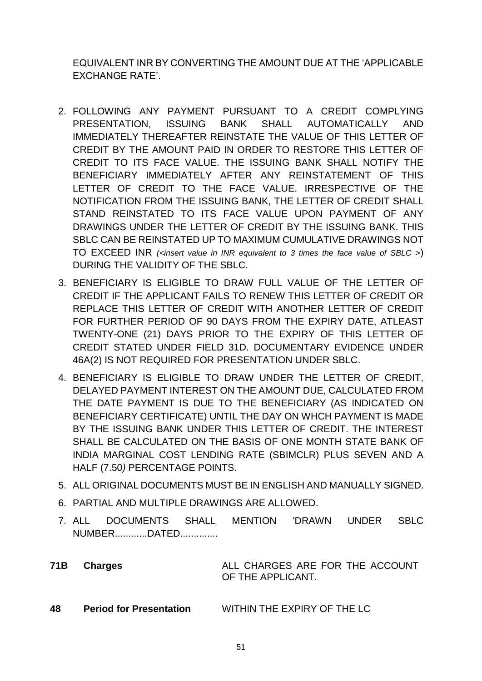EQUIVALENT INR BY CONVERTING THE AMOUNT DUE AT THE 'APPLICABLE EXCHANGE RATE'.

- 2. FOLLOWING ANY PAYMENT PURSUANT TO A CREDIT COMPLYING PRESENTATION, ISSUING BANK SHALL AUTOMATICALLY AND IMMEDIATELY THEREAFTER REINSTATE THE VALUE OF THIS LETTER OF CREDIT BY THE AMOUNT PAID IN ORDER TO RESTORE THIS LETTER OF CREDIT TO ITS FACE VALUE. THE ISSUING BANK SHALL NOTIFY THE BENEFICIARY IMMEDIATELY AFTER ANY REINSTATEMENT OF THIS LETTER OF CREDIT TO THE FACE VALUE. IRRESPECTIVE OF THE NOTIFICATION FROM THE ISSUING BANK, THE LETTER OF CREDIT SHALL STAND REINSTATED TO ITS FACE VALUE UPON PAYMENT OF ANY DRAWINGS UNDER THE LETTER OF CREDIT BY THE ISSUING BANK. THIS SBLC CAN BE REINSTATED UP TO MAXIMUM CUMULATIVE DRAWINGS NOT TO EXCEED INR *(<insert value in INR equivalent to 3 times the face value of SBLC >*) DURING THE VALIDITY OF THE SBLC.
- 3. BENEFICIARY IS ELIGIBLE TO DRAW FULL VALUE OF THE LETTER OF CREDIT IF THE APPLICANT FAILS TO RENEW THIS LETTER OF CREDIT OR REPLACE THIS LETTER OF CREDIT WITH ANOTHER LETTER OF CREDIT FOR FURTHER PERIOD OF 90 DAYS FROM THE EXPIRY DATE, ATLEAST TWENTY-ONE (21) DAYS PRIOR TO THE EXPIRY OF THIS LETTER OF CREDIT STATED UNDER FIELD 31D. DOCUMENTARY EVIDENCE UNDER 46A(2) IS NOT REQUIRED FOR PRESENTATION UNDER SBLC.
- 4. BENEFICIARY IS ELIGIBLE TO DRAW UNDER THE LETTER OF CREDIT, DELAYED PAYMENT INTEREST ON THE AMOUNT DUE, CALCULATED FROM THE DATE PAYMENT IS DUE TO THE BENEFICIARY (AS INDICATED ON BENEFICIARY CERTIFICATE) UNTIL THE DAY ON WHCH PAYMENT IS MADE BY THE ISSUING BANK UNDER THIS LETTER OF CREDIT. THE INTEREST SHALL BE CALCULATED ON THE BASIS OF ONE MONTH STATE BANK OF INDIA MARGINAL COST LENDING RATE (SBIMCLR) PLUS SEVEN AND A HALF (7.50*)* PERCENTAGE POINTS.
- 5. ALL ORIGINAL DOCUMENTS MUST BE IN ENGLISH AND MANUALLY SIGNED.
- 6. PARTIAL AND MULTIPLE DRAWINGS ARE ALLOWED.
- 7. ALL DOCUMENTS SHALL MENTION 'DRAWN UNDER SBLC NUMBER............DATED..............
- **71B Charges ALL CHARGES ARE FOR THE ACCOUNT** OF THE APPLICANT.
- **48 Period for Presentation** WITHIN THE EXPIRY OF THE LC